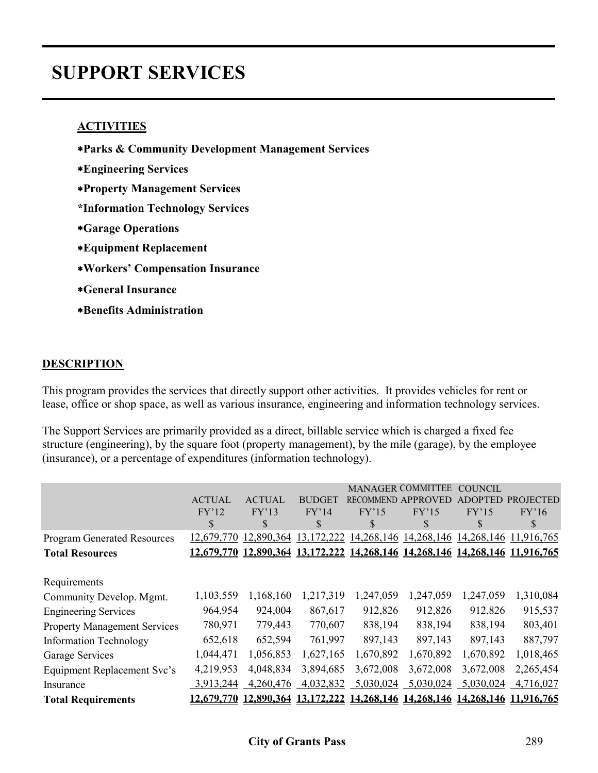# **SUPPORT SERVICES**

### **ACTIVITIES**

- ∗**Parks & Community Development Management Services**
- ∗**Engineering Services**
- ∗**Property Management Services**
- **\*Information Technology Services**
- ∗**Garage Operations**
- ∗**Equipment Replacement**
- ∗**Workers' Compensation Insurance**
- ∗**General Insurance**
- ∗**Benefits Administration**

#### **DESCRIPTION**

This program provides the services that directly support other activities. It provides vehicles for rent or lease, office or shop space, as well as various insurance, engineering and information technology services.

The Support Services are primarily provided as a direct, billable service which is charged a fixed fee structure (engineering), by the square foot (property management), by the mile (garage), by the employee (insurance), or a percentage of expenditures (information technology).

|                                     |               |               |               |                  | <b>MANAGER COMMITTEE</b> | COUNCIL   |                                  |
|-------------------------------------|---------------|---------------|---------------|------------------|--------------------------|-----------|----------------------------------|
|                                     | <b>ACTUAL</b> | <b>ACTUAL</b> | <b>BUDGET</b> | <b>RECOMMEND</b> | APPROVED                 | DOPTED    | <b>PROJECTED</b>                 |
|                                     | FY'12         | FY'13         | FY'14         | FY'15            | FY'15                    | FY'15     | FY'16                            |
|                                     | \$            | \$            | S             | \$               | \$                       | S         | \$                               |
| <b>Program Generated Resources</b>  | 12,679,770    | 12,890,364    | 13, 172, 222  | 14,268,146       | 14,268,146               |           | 14, 268, 146 11, 916, 765        |
| <b>Total Resources</b>              | 12,679,770    | 12,890,364    | 13,172,222    | 14,268,146       |                          |           | 14,268,146 14,268,146 11,916,765 |
| Requirements                        |               |               |               |                  |                          |           |                                  |
| Community Develop. Mgmt.            | 1,103,559     | 1,168,160     | 1,217,319     | 1,247,059        | 1,247,059                | 1,247,059 | 1,310,084                        |
| <b>Engineering Services</b>         | 964,954       | 924,004       | 867,617       | 912,826          | 912,826                  | 912,826   | 915,537                          |
| <b>Property Management Services</b> | 780,971       | 779,443       | 770,607       | 838,194          | 838,194                  | 838,194   | 803,401                          |
| <b>Information Technology</b>       | 652,618       | 652,594       | 761,997       | 897,143          | 897,143                  | 897,143   | 887,797                          |
| Garage Services                     | 1,044,471     | 1,056,853     | 1,627,165     | 1,670,892        | 1,670,892                | 1,670,892 | 1,018,465                        |
| <b>Equipment Replacement Svc's</b>  | 4,219,953     | 4,048,834     | 3,894,685     | 3,672,008        | 3,672,008                | 3,672,008 | 2,265,454                        |
| Insurance                           | 3,913,244     | 4,260,476     | 4,032,832     | 5,030,024        | 5,030,024                | 5,030,024 | 4,716,027                        |
| <b>Total Requirements</b>           | 12,679,770    | 12,890,364    | 13,172,222    | 14,268,146       |                          |           | 14,268,146 14,268,146 11,916,765 |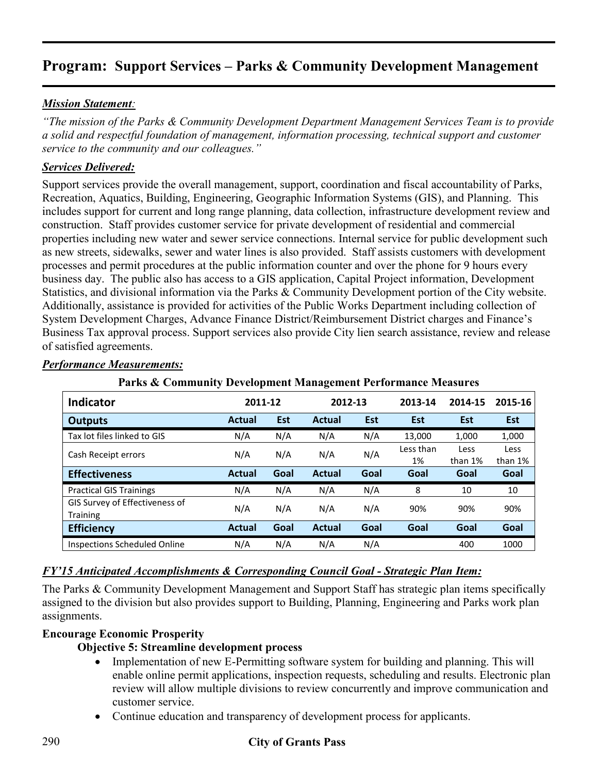### *Mission Statement:*

*"The mission of the Parks & Community Development Department Management Services Team is to provide a solid and respectful foundation of management, information processing, technical support and customer service to the community and our colleagues."* 

### *Services Delivered:*

Support services provide the overall management, support, coordination and fiscal accountability of Parks, Recreation, Aquatics, Building, Engineering, Geographic Information Systems (GIS), and Planning. This includes support for current and long range planning, data collection, infrastructure development review and construction. Staff provides customer service for private development of residential and commercial properties including new water and sewer service connections. Internal service for public development such as new streets, sidewalks, sewer and water lines is also provided. Staff assists customers with development processes and permit procedures at the public information counter and over the phone for 9 hours every business day. The public also has access to a GIS application, Capital Project information, Development Statistics, and divisional information via the Parks & Community Development portion of the City website. Additionally, assistance is provided for activities of the Public Works Department including collection of System Development Charges, Advance Finance District/Reimbursement District charges and Finance's Business Tax approval process. Support services also provide City lien search assistance, review and release of satisfied agreements.

| <b>Indicator</b>                           | 2011-12       |            | 2012-13       |      | 2013-14         | 2014-15         | 2015-16         |
|--------------------------------------------|---------------|------------|---------------|------|-----------------|-----------------|-----------------|
| <b>Outputs</b>                             | <b>Actual</b> | <b>Est</b> | <b>Actual</b> | Est  | <b>Est</b>      | <b>Est</b>      | <b>Est</b>      |
| Tax lot files linked to GIS                | N/A           | N/A        | N/A           | N/A  | 13,000          | 1,000           | 1,000           |
| Cash Receipt errors                        | N/A           | N/A        | N/A           | N/A  | Less than<br>1% | Less<br>than 1% | Less<br>than 1% |
| <b>Effectiveness</b>                       | <b>Actual</b> | Goal       | <b>Actual</b> | Goal | Goal            | Goal            | Goal            |
| <b>Practical GIS Trainings</b>             | N/A           | N/A        | N/A           | N/A  | 8               | 10              | 10              |
| GIS Survey of Effectiveness of<br>Training | N/A           | N/A        | N/A           | N/A  | 90%             | 90%             | 90%             |
| <b>Efficiency</b>                          | <b>Actual</b> | Goal       | <b>Actual</b> | Goal | Goal            | Goal            | Goal            |
| <b>Inspections Scheduled Online</b>        | N/A           | N/A        | N/A           | N/A  |                 | 400             | 1000            |

#### *Performance Measurements:*

## **Parks & Community Development Management Performance Measures**

#### *FY'15 Anticipated Accomplishments & Corresponding Council Goal - Strategic Plan Item:*

The Parks & Community Development Management and Support Staff has strategic plan items specifically assigned to the division but also provides support to Building, Planning, Engineering and Parks work plan assignments.

#### **Encourage Economic Prosperity**

#### **Objective 5: Streamline development process**

- Implementation of new E-Permitting software system for building and planning. This will enable online permit applications, inspection requests, scheduling and results. Electronic plan review will allow multiple divisions to review concurrently and improve communication and customer service.
- Continue education and transparency of development process for applicants.

## 290 **City of Grants Pass**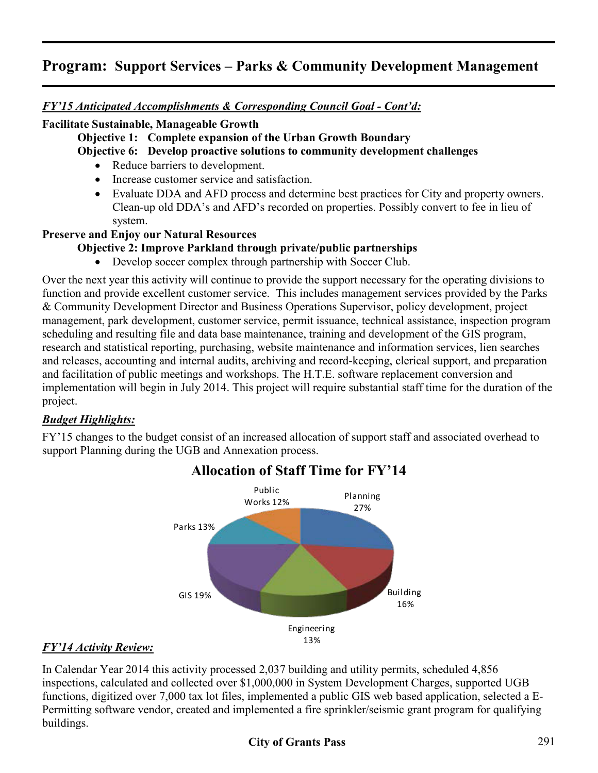*FY'15 Anticipated Accomplishments & Corresponding Council Goal - Cont'd:* 

### **Facilitate Sustainable, Manageable Growth**

**Objective 1: Complete expansion of the Urban Growth Boundary**

**Objective 6: Develop proactive solutions to community development challenges** 

- Reduce barriers to development.
- Increase customer service and satisfaction.
- Evaluate DDA and AFD process and determine best practices for City and property owners. Clean-up old DDA's and AFD's recorded on properties. Possibly convert to fee in lieu of system.

## **Preserve and Enjoy our Natural Resources**

## **Objective 2: Improve Parkland through private/public partnerships**

• Develop soccer complex through partnership with Soccer Club.

Over the next year this activity will continue to provide the support necessary for the operating divisions to function and provide excellent customer service. This includes management services provided by the Parks & Community Development Director and Business Operations Supervisor, policy development, project management, park development, customer service, permit issuance, technical assistance, inspection program scheduling and resulting file and data base maintenance, training and development of the GIS program, research and statistical reporting, purchasing, website maintenance and information services, lien searches and releases, accounting and internal audits, archiving and record-keeping, clerical support, and preparation and facilitation of public meetings and workshops. The H.T.E. software replacement conversion and implementation will begin in July 2014. This project will require substantial staff time for the duration of the project.

## *Budget Highlights:*

FY'15 changes to the budget consist of an increased allocation of support staff and associated overhead to support Planning during the UGB and Annexation process.



# **Allocation of Staff Time for FY'14**

## *FY'14 Activity Review:*

In Calendar Year 2014 this activity processed 2,037 building and utility permits, scheduled 4,856 inspections, calculated and collected over \$1,000,000 in System Development Charges, supported UGB functions, digitized over 7,000 tax lot files, implemented a public GIS web based application, selected a E-Permitting software vendor, created and implemented a fire sprinkler/seismic grant program for qualifying buildings.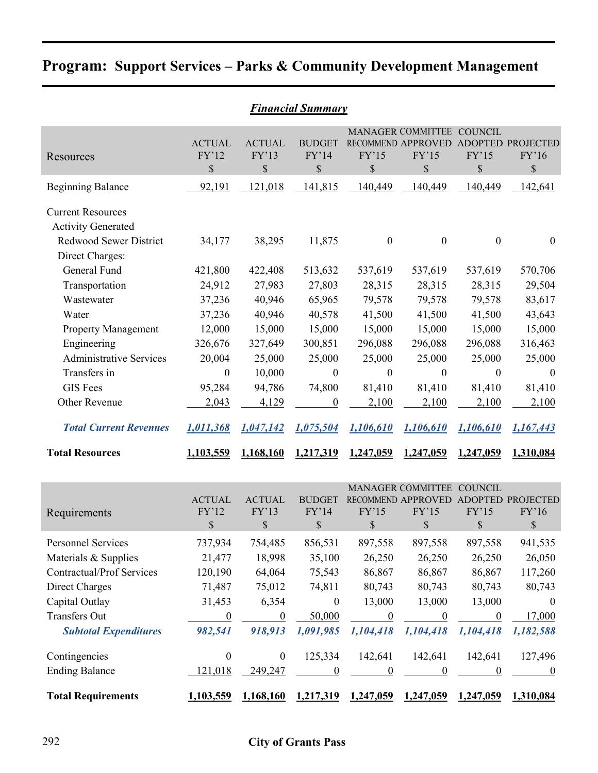|                                                                                                           | <b>Financial Summary</b>              |                                     |                                                |                                      |                                                                                  |                                      |                                                 |  |  |  |  |  |
|-----------------------------------------------------------------------------------------------------------|---------------------------------------|-------------------------------------|------------------------------------------------|--------------------------------------|----------------------------------------------------------------------------------|--------------------------------------|-------------------------------------------------|--|--|--|--|--|
| Resources                                                                                                 | <b>ACTUAL</b><br>FY'12<br>$\$$        | <b>ACTUAL</b><br>FY'13<br>\$        | <b>BUDGET</b><br>FY'14<br>\$                   | FY'15<br>\$                          | MANAGER COMMITTEE COUNCIL<br>RECOMMEND APPROVED ADOPTED PROJECTED<br>FY'15<br>\$ | FY'15<br>\$                          | FY'16<br>$\mathbb S$                            |  |  |  |  |  |
| <b>Beginning Balance</b>                                                                                  | 92,191                                | 121,018                             | 141,815                                        | 140,449                              | 140,449                                                                          | 140,449                              | 142,641                                         |  |  |  |  |  |
| <b>Current Resources</b><br><b>Activity Generated</b><br><b>Redwood Sewer District</b><br>Direct Charges: | 34,177                                | 38,295                              | 11,875                                         | $\boldsymbol{0}$                     | $\boldsymbol{0}$                                                                 | $\boldsymbol{0}$                     | $\boldsymbol{0}$                                |  |  |  |  |  |
| General Fund<br>Transportation                                                                            | 421,800<br>24,912                     | 422,408<br>27,983                   | 513,632<br>27,803                              | 537,619<br>28,315                    | 537,619<br>28,315                                                                | 537,619<br>28,315                    | 570,706<br>29,504                               |  |  |  |  |  |
| Wastewater<br>Water                                                                                       | 37,236<br>37,236                      | 40,946<br>40,946                    | 65,965<br>40,578                               | 79,578<br>41,500                     | 79,578<br>41,500                                                                 | 79,578<br>41,500                     | 83,617<br>43,643                                |  |  |  |  |  |
| <b>Property Management</b><br>Engineering                                                                 | 12,000<br>326,676                     | 15,000<br>327,649                   | 15,000<br>300,851                              | 15,000<br>296,088                    | 15,000<br>296,088                                                                | 15,000<br>296,088                    | 15,000<br>316,463                               |  |  |  |  |  |
| <b>Administrative Services</b><br>Transfers in                                                            | 20,004<br>$\boldsymbol{0}$            | 25,000<br>10,000                    | 25,000<br>$\boldsymbol{0}$                     | 25,000<br>$\boldsymbol{0}$           | 25,000<br>$\boldsymbol{0}$                                                       | 25,000<br>$\boldsymbol{0}$           | 25,000<br>$\mathbf{0}$                          |  |  |  |  |  |
| <b>GIS</b> Fees<br>Other Revenue                                                                          | 95,284<br>2,043                       | 94,786<br>4,129                     | 74,800<br>$\boldsymbol{0}$                     | 81,410<br>2,100                      | 81,410<br>2,100                                                                  | 81,410<br>2,100                      | 81,410<br>2,100                                 |  |  |  |  |  |
| <b>Total Current Revenues</b>                                                                             | 1,011,368                             | 1,047,142                           | 1,075,504                                      | 1,106,610                            | 1,106,610                                                                        | 1,106,610                            | 1,167,443                                       |  |  |  |  |  |
| <b>Total Resources</b>                                                                                    | 1,103,559                             | 1,168,160                           | 1.217.319                                      | 1.247,059                            | 1.247.059                                                                        | 1.247.059                            | 1,310,084                                       |  |  |  |  |  |
| Requirements                                                                                              | <b>ACTUAL</b><br>FY'12<br>\$          | <b>ACTUAL</b><br>FY'13<br>\$        | <b>BUDGET</b><br>FY'14<br>\$                   | FY'15<br>\$                          | <b>MANAGER COMMITTEE</b><br>RECOMMEND APPROVED ADOPTED PROJECTED<br>FY'15<br>\$  | <b>COUNCIL</b><br>FY'15<br>\$        | FY'16<br>\$                                     |  |  |  |  |  |
| Personnel Services                                                                                        | 737,934                               | 754,485                             | 856,531                                        | 897,558                              | 897,558                                                                          | 897,558                              | 941,535                                         |  |  |  |  |  |
| Materials & Supplies<br><b>Contractual/Prof Services</b><br><b>Direct Charges</b><br>Capital Outlay       | 21,477<br>120,190<br>71,487<br>31,453 | 18,998<br>64,064<br>75,012<br>6,354 | 35,100<br>75,543<br>74,811<br>$\boldsymbol{0}$ | 26,250<br>86,867<br>80,743<br>13,000 | 26,250<br>86,867<br>80,743<br>13,000                                             | 26,250<br>86,867<br>80,743<br>13,000 | 26,050<br>117,260<br>80,743<br>$\boldsymbol{0}$ |  |  |  |  |  |
| Transfers Out<br><b>Subtotal Expenditures</b>                                                             | $\boldsymbol{0}$<br>982,541           | $\overline{0}$<br>918,913           | 50,000<br>1,091,985                            | $\overline{0}$<br>1,104,418          | $\overline{0}$<br>1,104,418                                                      | $\boldsymbol{0}$<br>1,104,418        | 17,000<br>1,182,588                             |  |  |  |  |  |
| Contingencies<br><b>Ending Balance</b>                                                                    | $\boldsymbol{0}$<br>121,018           | $\boldsymbol{0}$<br>249,247         | 125,334<br>$\boldsymbol{0}$                    | 142,641<br>$\overline{0}$            | 142,641<br>$\overline{0}$                                                        | 142,641<br>$\boldsymbol{0}$          | 127,496<br>$\overline{0}$                       |  |  |  |  |  |
| <b>Total Requirements</b>                                                                                 | 1,103,559                             | 1,168,160                           | 1,217,319                                      | 1,247,059                            | <u>1,247,059</u>                                                                 | 1,247,059                            | 1,310,084                                       |  |  |  |  |  |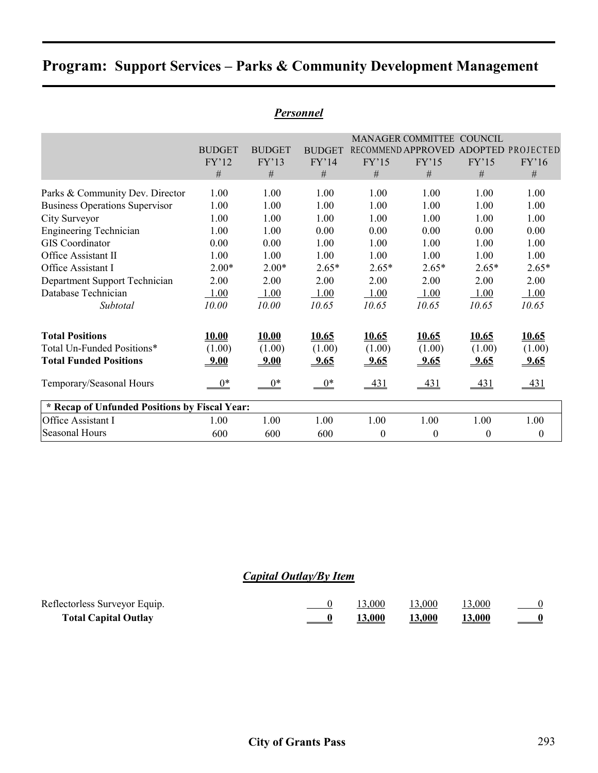|                                               |               |               | 1 ersviillel  |                  |                                      |                  |                  |
|-----------------------------------------------|---------------|---------------|---------------|------------------|--------------------------------------|------------------|------------------|
|                                               |               |               |               |                  | MANAGER COMMITTEE COUNCIL            |                  |                  |
|                                               | <b>BUDGET</b> | <b>BUDGET</b> | <b>BUDGET</b> |                  | RECOMMEND APPROVED ADOPTED PROJECTED |                  |                  |
|                                               | FY'12         | FY'13         | FY'14         | FY'15            | FY'15                                | FY'15            | FY'16            |
|                                               | #             | $\#$          | #             | #                | #                                    | $\#$             | $\#$             |
| Parks & Community Dev. Director               | 1.00          | 1.00          | 1.00          | 1.00             | 1.00                                 | 1.00             | 1.00             |
| <b>Business Operations Supervisor</b>         | 1.00          | 1.00          | 1.00          | 1.00             | 1.00                                 | 1.00             | 1.00             |
| City Surveyor                                 | 1.00          | 1.00          | 1.00          | 1.00             | 1.00                                 | 1.00             | 1.00             |
| <b>Engineering Technician</b>                 | 1.00          | 1.00          | 0.00          | 0.00             | 0.00                                 | 0.00             | 0.00             |
| <b>GIS</b> Coordinator                        | 0.00          | 0.00          | 1.00          | 1.00             | 1.00                                 | 1.00             | 1.00             |
| Office Assistant II                           | 1.00          | 1.00          | 1.00          | 1.00             | 1.00                                 | 1.00             | 1.00             |
| Office Assistant I                            | $2.00*$       | $2.00*$       | $2.65*$       | $2.65*$          | $2.65*$                              | $2.65*$          | $2.65*$          |
| Department Support Technician                 | 2.00          | 2.00          | 2.00          | 2.00             | 2.00                                 | 2.00             | 2.00             |
| Database Technician                           | 1.00          | 1.00          | 1.00          | 1.00             | 1.00                                 | 1.00             | 1.00             |
| Subtotal                                      | 10.00         | 10.00         | 10.65         | 10.65            | 10.65                                | 10.65            | 10.65            |
| <b>Total Positions</b>                        | 10.00         | 10.00         | 10.65         | 10.65            | 10.65                                | 10.65            | <u>10.65</u>     |
| Total Un-Funded Positions*                    | (1.00)        | (1.00)        | (1.00)        | (1.00)           | (1.00)                               | (1.00)           | (1.00)           |
| <b>Total Funded Positions</b>                 | 9.00          | <u>9.00</u>   | 9.65          | $-9.65$          | <u>9.65</u>                          | 9.65             | <u>9.65</u>      |
| Temporary/Seasonal Hours                      | $0^*$         | $0^*$         | $0^*$         | 431              | <u>431</u>                           | <u>431</u>       | $-431$           |
| * Recap of Unfunded Positions by Fiscal Year: |               |               |               |                  |                                      |                  |                  |
| Office Assistant I                            | 1.00          | 1.00          | 1.00          | 1.00             | 1.00                                 | 1.00             | 1.00             |
| <b>Seasonal Hours</b>                         | 600           | 600           | 600           | $\boldsymbol{0}$ | $\boldsymbol{0}$                     | $\boldsymbol{0}$ | $\boldsymbol{0}$ |

#### *Personnel*

# *Capital Outlay/By Item*

| Reflectorless Surveyor Equip. |               | 13.000        | 13,000        | 13,000        |                               |
|-------------------------------|---------------|---------------|---------------|---------------|-------------------------------|
| <b>Total Capital Outlay</b>   | $\frac{0}{1}$ | <b>13,000</b> | <b>13,000</b> | <b>13,000</b> | $\qquad \qquad \underline{0}$ |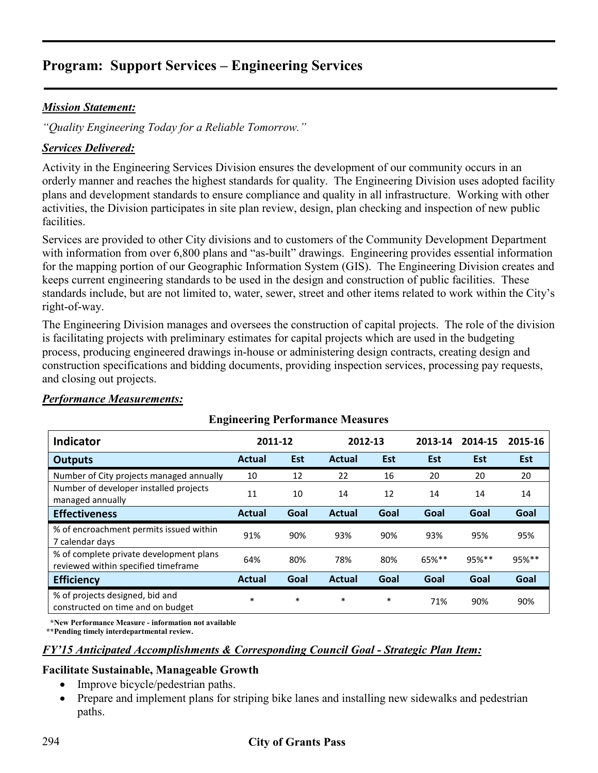## *Mission Statement:*

*"Quality Engineering Today for a Reliable Tomorrow."* 

## *Services Delivered:*

Activity in the Engineering Services Division ensures the development of our community occurs in an orderly manner and reaches the highest standards for quality. The Engineering Division uses adopted facility plans and development standards to ensure compliance and quality in all infrastructure. Working with other activities, the Division participates in site plan review, design, plan checking and inspection of new public facilities.

Services are provided to other City divisions and to customers of the Community Development Department with information from over 6,800 plans and "as-built" drawings. Engineering provides essential information for the mapping portion of our Geographic Information System (GIS). The Engineering Division creates and keeps current engineering standards to be used in the design and construction of public facilities. These standards include, but are not limited to, water, sewer, street and other items related to work within the City's right-of-way.

The Engineering Division manages and oversees the construction of capital projects. The role of the division is facilitating projects with preliminary estimates for capital projects which are used in the budgeting process, producing engineered drawings in-house or administering design contracts, creating design and construction specifications and bidding documents, providing inspection services, processing pay requests, and closing out projects.

| <b>Engineering Periormance Measures</b>                                        |               |        |               |            |         |            |            |  |  |  |
|--------------------------------------------------------------------------------|---------------|--------|---------------|------------|---------|------------|------------|--|--|--|
| <b>Indicator</b>                                                               | 2011-12       |        | 2012-13       |            | 2013-14 | 2014-15    | 2015-16    |  |  |  |
| <b>Outputs</b>                                                                 | <b>Actual</b> | Est    | <b>Actual</b> | <b>Est</b> | Est     | <b>Est</b> | <b>Est</b> |  |  |  |
| Number of City projects managed annually                                       | 10            | 12     | 22            | 16         | 20      | 20         | 20         |  |  |  |
| Number of developer installed projects<br>managed annually                     | 11            | 10     | 14            | 12         | 14      | 14         | 14         |  |  |  |
| <b>Effectiveness</b>                                                           | <b>Actual</b> | Goal   | <b>Actual</b> | Goal       | Goal    | Goal       | Goal       |  |  |  |
| % of encroachment permits issued within<br>7 calendar days                     | 91%           | 90%    | 93%           | 90%        | 93%     | 95%        | 95%        |  |  |  |
| % of complete private development plans<br>reviewed within specified timeframe | 64%           | 80%    | 78%           | 80%        | 65%**   | 95%**      | 95%**      |  |  |  |
| <b>Efficiency</b>                                                              | <b>Actual</b> | Goal   | <b>Actual</b> | Goal       | Goal    | Goal       | Goal       |  |  |  |
| % of projects designed, bid and<br>constructed on time and on budget           | $\ast$        | $\ast$ | $\ast$        | $\ast$     | 71%     | 90%        | 90%        |  |  |  |

## *Performance Measurements:*

# **Engineering Performance Measures**

 **\*New Performance Measure - information not available**

 **\*\*Pending timely interdepartmental review.**

#### *FY'15 Anticipated Accomplishments & Corresponding Council Goal - Strategic Plan Item:*

#### **Facilitate Sustainable, Manageable Growth**

- Improve bicycle/pedestrian paths.
- Prepare and implement plans for striping bike lanes and installing new sidewalks and pedestrian paths.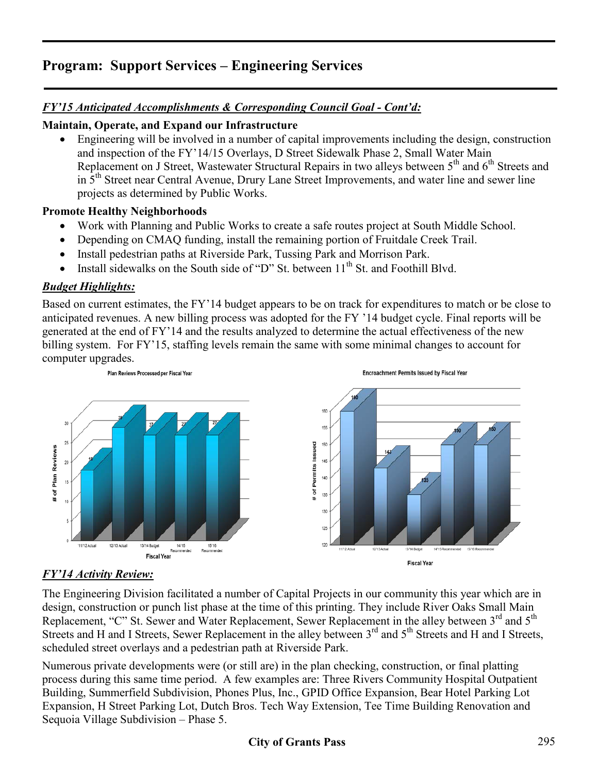# *FY'15 Anticipated Accomplishments & Corresponding Council Goal - Cont'd:*

## **Maintain, Operate, and Expand our Infrastructure**

• Engineering will be involved in a number of capital improvements including the design, construction and inspection of the FY'14/15 Overlays, D Street Sidewalk Phase 2, Small Water Main Replacement on J Street, Wastewater Structural Repairs in two alleys between 5<sup>th</sup> and 6<sup>th</sup> Streets and in 5<sup>th</sup> Street near Central Avenue, Drury Lane Street Improvements, and water line and sewer line projects as determined by Public Works.

### **Promote Healthy Neighborhoods**

- Work with Planning and Public Works to create a safe routes project at South Middle School.
- Depending on CMAQ funding, install the remaining portion of Fruitdale Creek Trail.
- Install pedestrian paths at Riverside Park, Tussing Park and Morrison Park.
- Install sidewalks on the South side of "D" St. between  $11<sup>th</sup>$  St. and Foothill Blvd.

## *Budget Highlights:*

Based on current estimates, the FY'14 budget appears to be on track for expenditures to match or be close to anticipated revenues. A new billing process was adopted for the FY '14 budget cycle. Final reports will be generated at the end of FY'14 and the results analyzed to determine the actual effectiveness of the new billing system. For FY'15, staffing levels remain the same with some minimal changes to account for computer upgrades.



## *FY'14 Activity Review:*

The Engineering Division facilitated a number of Capital Projects in our community this year which are in design, construction or punch list phase at the time of this printing. They include River Oaks Small Main Replacement, "C" St. Sewer and Water Replacement, Sewer Replacement in the alley between 3<sup>rd</sup> and 5<sup>th</sup> Streets and H and I Streets, Sewer Replacement in the alley between 3<sup>rd</sup> and 5<sup>th</sup> Streets and H and I Streets, scheduled street overlays and a pedestrian path at Riverside Park.

Numerous private developments were (or still are) in the plan checking, construction, or final platting process during this same time period. A few examples are: Three Rivers Community Hospital Outpatient Building, Summerfield Subdivision, Phones Plus, Inc., GPID Office Expansion, Bear Hotel Parking Lot Expansion, H Street Parking Lot, Dutch Bros. Tech Way Extension, Tee Time Building Renovation and Sequoia Village Subdivision – Phase 5.

## **City of Grants Pass** 295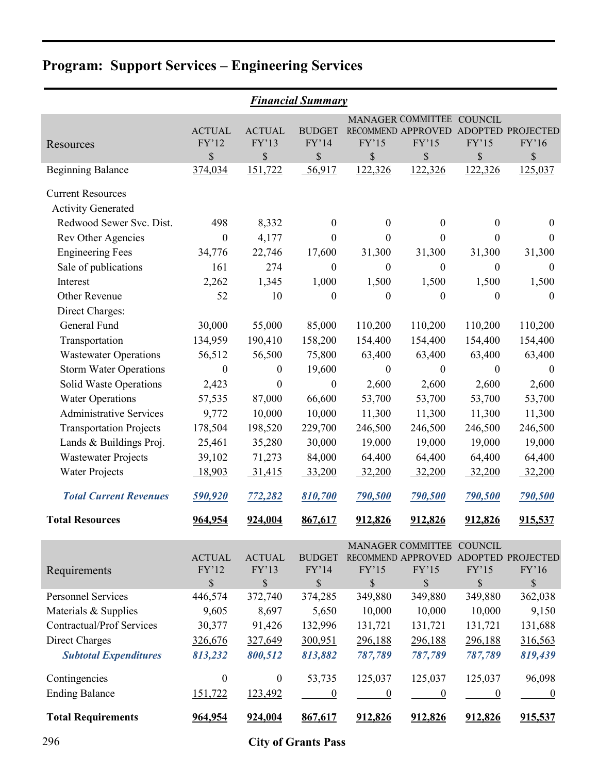|                                  | <b>Financial Summary</b> |                        |                        |                  |                             |                  |                                      |  |  |  |  |
|----------------------------------|--------------------------|------------------------|------------------------|------------------|-----------------------------|------------------|--------------------------------------|--|--|--|--|
|                                  |                          |                        |                        |                  | MANAGER COMMITTEE COUNCIL   |                  |                                      |  |  |  |  |
|                                  | <b>ACTUAL</b><br>FY'12   | <b>ACTUAL</b><br>FY'13 | <b>BUDGET</b><br>FY'14 | FY'15            | RECOMMEND APPROVED<br>FY'15 | FY'15            | ADOPTED PROJECTED<br>FY'16           |  |  |  |  |
| Resources                        | \$                       | \$                     | \$                     | \$               | \$                          | \$               | \$                                   |  |  |  |  |
| <b>Beginning Balance</b>         | 374,034                  | 151,722                | 56,917                 | 122,326          | 122,326                     | 122,326          | 125,037                              |  |  |  |  |
| <b>Current Resources</b>         |                          |                        |                        |                  |                             |                  |                                      |  |  |  |  |
| <b>Activity Generated</b>        |                          |                        |                        |                  |                             |                  |                                      |  |  |  |  |
| Redwood Sewer Svc. Dist.         | 498                      | 8,332                  | $\boldsymbol{0}$       | $\boldsymbol{0}$ | $\boldsymbol{0}$            | $\mathbf{0}$     | $\boldsymbol{0}$                     |  |  |  |  |
| <b>Rev Other Agencies</b>        | $\boldsymbol{0}$         | 4,177                  | 0                      | 0                | $\boldsymbol{0}$            | $\theta$         | $\theta$                             |  |  |  |  |
| <b>Engineering Fees</b>          | 34,776                   | 22,746                 | 17,600                 | 31,300           | 31,300                      | 31,300           | 31,300                               |  |  |  |  |
| Sale of publications             | 161                      | 274                    | $\boldsymbol{0}$       | $\boldsymbol{0}$ | $\boldsymbol{0}$            | $\boldsymbol{0}$ | $\boldsymbol{0}$                     |  |  |  |  |
| Interest                         | 2,262                    | 1,345                  | 1,000                  | 1,500            | 1,500                       | 1,500            | 1,500                                |  |  |  |  |
| Other Revenue                    | 52                       | 10                     | $\boldsymbol{0}$       | $\boldsymbol{0}$ | $\boldsymbol{0}$            | $\boldsymbol{0}$ | $\boldsymbol{0}$                     |  |  |  |  |
| Direct Charges:                  |                          |                        |                        |                  |                             |                  |                                      |  |  |  |  |
| General Fund                     | 30,000                   | 55,000                 | 85,000                 | 110,200          | 110,200                     | 110,200          | 110,200                              |  |  |  |  |
| Transportation                   | 134,959                  | 190,410                | 158,200                | 154,400          | 154,400                     | 154,400          | 154,400                              |  |  |  |  |
| <b>Wastewater Operations</b>     | 56,512                   | 56,500                 | 75,800                 | 63,400           | 63,400                      | 63,400           | 63,400                               |  |  |  |  |
| <b>Storm Water Operations</b>    | $\boldsymbol{0}$         | $\boldsymbol{0}$       | 19,600                 | $\boldsymbol{0}$ | $\boldsymbol{0}$            | $\boldsymbol{0}$ | $\boldsymbol{0}$                     |  |  |  |  |
| Solid Waste Operations           | 2,423                    | $\boldsymbol{0}$       | $\boldsymbol{0}$       | 2,600            | 2,600                       | 2,600            | 2,600                                |  |  |  |  |
| <b>Water Operations</b>          | 57,535                   | 87,000                 | 66,600                 | 53,700           | 53,700                      | 53,700           | 53,700                               |  |  |  |  |
| <b>Administrative Services</b>   | 9,772                    | 10,000                 | 10,000                 | 11,300           | 11,300                      | 11,300           | 11,300                               |  |  |  |  |
| <b>Transportation Projects</b>   | 178,504                  | 198,520                | 229,700                | 246,500          | 246,500                     | 246,500          | 246,500                              |  |  |  |  |
| Lands & Buildings Proj.          | 25,461                   | 35,280                 | 30,000                 | 19,000           | 19,000                      | 19,000           | 19,000                               |  |  |  |  |
| <b>Wastewater Projects</b>       | 39,102                   | 71,273                 | 84,000                 | 64,400           | 64,400                      | 64,400           | 64,400                               |  |  |  |  |
| <b>Water Projects</b>            | 18,903                   | 31,415                 | 33,200                 | 32,200           | 32,200                      | 32,200           | 32,200                               |  |  |  |  |
| <b>Total Current Revenues</b>    | 590,920                  | 772,282                | 810,700                | 790,500          | 790,500                     | <b>790,500</b>   | 790,500                              |  |  |  |  |
| <b>Total Resources</b>           | 964,954                  | 924,004                | 867,617                | 912,826          | 912,826                     | 912,826          | 915,537                              |  |  |  |  |
|                                  |                          |                        |                        |                  | MANAGER COMMITTEE COUNCIL   |                  |                                      |  |  |  |  |
|                                  | <b>ACTUAL</b>            | <b>ACTUAL</b>          | <b>BUDGET</b>          |                  |                             |                  | RECOMMEND APPROVED ADOPTED PROJECTED |  |  |  |  |
| Requirements                     | FY'12                    | FY'13                  | FY'14                  | FY'15            | FY'15                       | FY'15            | FY'16                                |  |  |  |  |
|                                  | \$                       | \$                     | \$                     | \$               | \$                          | $\mathbb{S}$     | \$                                   |  |  |  |  |
| <b>Personnel Services</b>        | 446,574                  | 372,740                | 374,285                | 349,880          | 349,880                     | 349,880          | 362,038                              |  |  |  |  |
| Materials & Supplies             | 9,605                    | 8,697                  | 5,650                  | 10,000           | 10,000                      | 10,000           | 9,150                                |  |  |  |  |
| <b>Contractual/Prof Services</b> | 30,377                   | 91,426                 | 132,996                | 131,721          | 131,721                     | 131,721          | 131,688                              |  |  |  |  |
| <b>Direct Charges</b>            | 326,676                  | 327,649                | 300,951                | 296,188          | 296,188                     | 296,188          | 316,563                              |  |  |  |  |
| <b>Subtotal Expenditures</b>     | 813,232                  | 800,512                | 813,882                | 787,789          | 787,789                     | 787,789          | 819,439                              |  |  |  |  |
| Contingencies                    | $\boldsymbol{0}$         | $\boldsymbol{0}$       | 53,735                 | 125,037          | 125,037                     | 125,037          | 96,098                               |  |  |  |  |
| <b>Ending Balance</b>            | 151,722                  | 123,492                | $\boldsymbol{0}$       | $\overline{0}$   | $\overline{0}$              | $\overline{0}$   | $\overline{0}$                       |  |  |  |  |
| <b>Total Requirements</b>        | 964,954                  | 924,004                | 867,617                | 912,826          | 912,826                     | 912,826          | 915,537                              |  |  |  |  |

296 **City of Grants Pass**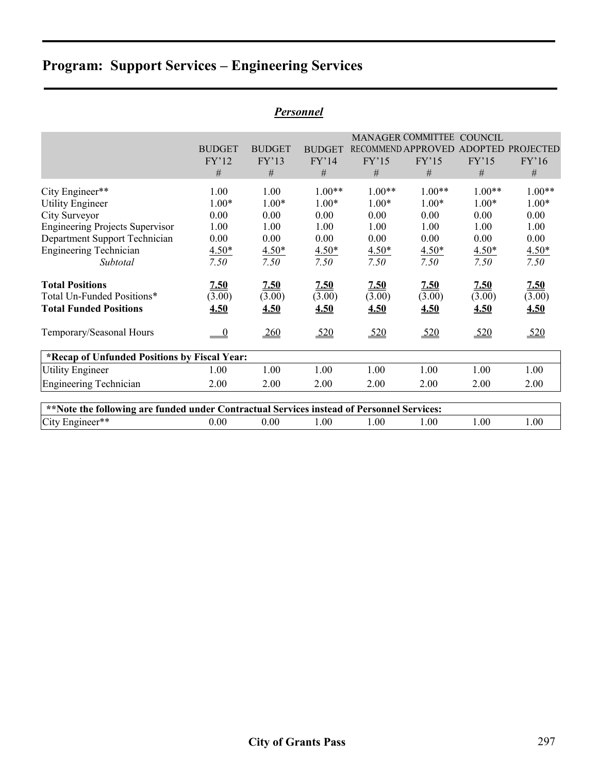|                                                                                                                                                                                                               |                                                            |                                                            | <i>Personnel</i>                                               |                                                                |                                                                |                                                                |                                                                |
|---------------------------------------------------------------------------------------------------------------------------------------------------------------------------------------------------------------|------------------------------------------------------------|------------------------------------------------------------|----------------------------------------------------------------|----------------------------------------------------------------|----------------------------------------------------------------|----------------------------------------------------------------|----------------------------------------------------------------|
|                                                                                                                                                                                                               | <b>BUDGET</b><br>FY'12<br>$\#$                             | <b>BUDGET</b><br>FY'13<br>#                                | <b>BUDGET</b><br>FY'14<br>#                                    | RECOMMEND APPROVED<br>FY'15<br>$\#$                            | MANAGER COMMITTEE COUNCIL<br>FY'15<br>#                        | FY'15<br>$\#$                                                  | <b>ADOPTED PROJECTED</b><br>FY'16<br>$\#$                      |
| City Engineer**<br><b>Utility Engineer</b><br>City Surveyor<br><b>Engineering Projects Supervisor</b><br>Department Support Technician<br><b>Engineering Technician</b><br>Subtotal<br><b>Total Positions</b> | 1.00<br>$1.00*$<br>0.00<br>1.00<br>0.00<br>$4.50*$<br>7.50 | 1.00<br>$1.00*$<br>0.00<br>1.00<br>0.00<br>$4.50*$<br>7.50 | $1.00**$<br>$1.00*$<br>0.00<br>1.00<br>0.00<br>$4.50*$<br>7.50 | $1.00**$<br>$1.00*$<br>0.00<br>1.00<br>0.00<br>$4.50*$<br>7.50 | $1.00**$<br>$1.00*$<br>0.00<br>1.00<br>0.00<br>$4.50*$<br>7.50 | $1.00**$<br>$1.00*$<br>0.00<br>1.00<br>0.00<br>$4.50*$<br>7.50 | $1.00**$<br>$1.00*$<br>0.00<br>1.00<br>0.00<br>$4.50*$<br>7.50 |
| Total Un-Funded Positions*<br><b>Total Funded Positions</b>                                                                                                                                                   | 7.50<br>(3.00)<br>4.50                                     | 7.50<br>(3.00)<br>4.50                                     | 2.50<br>(3.00)<br>4.50                                         | 2.50<br>(3.00)<br>4.50                                         | <u>7.50</u><br>(3.00)<br>4.50                                  | 7.50<br>(3.00)<br>4.50                                         | <u>7.50</u><br>(3.00)<br>4.50                                  |
| Temporary/Seasonal Hours                                                                                                                                                                                      | $\overline{0}$                                             | 260                                                        | 520                                                            | 520                                                            | 520                                                            | 520                                                            | 520                                                            |
| *Recap of Unfunded Positions by Fiscal Year:                                                                                                                                                                  |                                                            |                                                            |                                                                |                                                                |                                                                |                                                                |                                                                |
| <b>Utility Engineer</b>                                                                                                                                                                                       | 1.00                                                       | 1.00                                                       | 1.00                                                           | 1.00                                                           | 1.00                                                           | 1.00                                                           | 1.00                                                           |
| <b>Engineering Technician</b>                                                                                                                                                                                 | 2.00                                                       | 2.00                                                       | 2.00                                                           | 2.00                                                           | 2.00                                                           | 2.00                                                           | 2.00                                                           |
| **Note the following are funded under Contractual Services instead of Personnel Services:                                                                                                                     |                                                            |                                                            |                                                                |                                                                |                                                                |                                                                |                                                                |
| City Engineer**                                                                                                                                                                                               | 0.00                                                       | 0.00                                                       | 1.00                                                           | 1.00                                                           | 1.00                                                           | 1.00                                                           | 1.00                                                           |
|                                                                                                                                                                                                               |                                                            |                                                            |                                                                |                                                                |                                                                |                                                                |                                                                |

# *Personnel*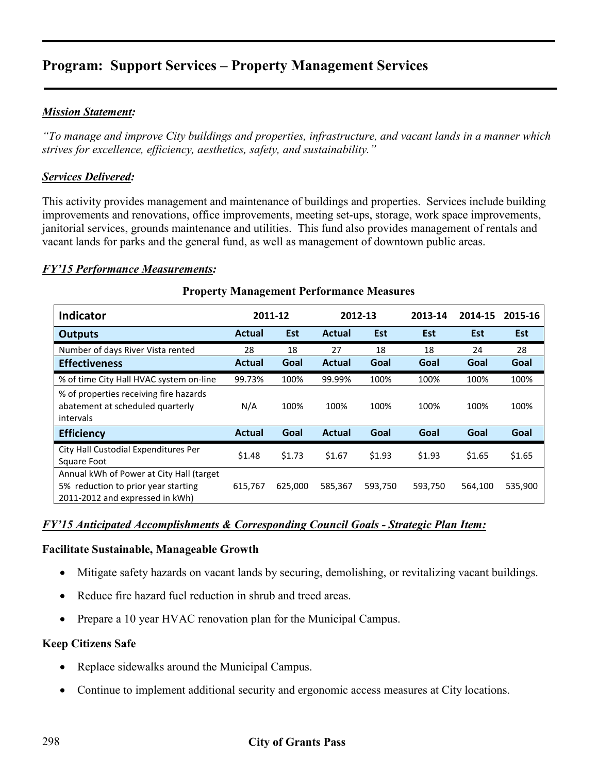### *Mission Statement:*

*"To manage and improve City buildings and properties, infrastructure, and vacant lands in a manner which strives for excellence, efficiency, aesthetics, safety, and sustainability."* 

#### *Services Delivered:*

This activity provides management and maintenance of buildings and properties. Services include building improvements and renovations, office improvements, meeting set-ups, storage, work space improvements, janitorial services, grounds maintenance and utilities. This fund also provides management of rentals and vacant lands for parks and the general fund, as well as management of downtown public areas.

#### *FY'15 Performance Measurements:*

| Indicator                                                                                                          |               | 2011-12 |               | 2012-13 | 2013-14 | 2014-15    | 2015-16 |
|--------------------------------------------------------------------------------------------------------------------|---------------|---------|---------------|---------|---------|------------|---------|
| Outputs                                                                                                            | <b>Actual</b> | Est     | <b>Actual</b> | Est     | Est     | <b>Est</b> | Est     |
| Number of days River Vista rented                                                                                  | 28            | 18      | 27            | 18      | 18      | 24         | 28      |
| <b>Effectiveness</b>                                                                                               | <b>Actual</b> | Goal    | <b>Actual</b> | Goal    | Goal    | Goal       | Goal    |
| % of time City Hall HVAC system on-line                                                                            | 99.73%        | 100%    | 99.99%        | 100%    | 100%    | 100%       | 100%    |
| % of properties receiving fire hazards<br>abatement at scheduled quarterly<br>intervals                            | N/A           | 100%    | 100%          | 100%    | 100%    | 100%       | 100%    |
| <b>Efficiency</b>                                                                                                  | <b>Actual</b> | Goal    | Actual        | Goal    | Goal    | Goal       | Goal    |
| City Hall Custodial Expenditures Per<br>Square Foot                                                                | \$1.48        | \$1.73  | \$1.67        | \$1.93  | \$1.93  | \$1.65     | \$1.65  |
| Annual kWh of Power at City Hall (target<br>5% reduction to prior year starting<br>2011-2012 and expressed in kWh) | 615,767       | 625,000 | 585,367       | 593,750 | 593,750 | 564,100    | 535,900 |

#### **Property Management Performance Measures**

#### *FY'15 Anticipated Accomplishments & Corresponding Council Goals - Strategic Plan Item:*

#### **Facilitate Sustainable, Manageable Growth**

- Mitigate safety hazards on vacant lands by securing, demolishing, or revitalizing vacant buildings.
- Reduce fire hazard fuel reduction in shrub and treed areas.
- Prepare a 10 year HVAC renovation plan for the Municipal Campus.

#### **Keep Citizens Safe**

- Replace sidewalks around the Municipal Campus.
- Continue to implement additional security and ergonomic access measures at City locations.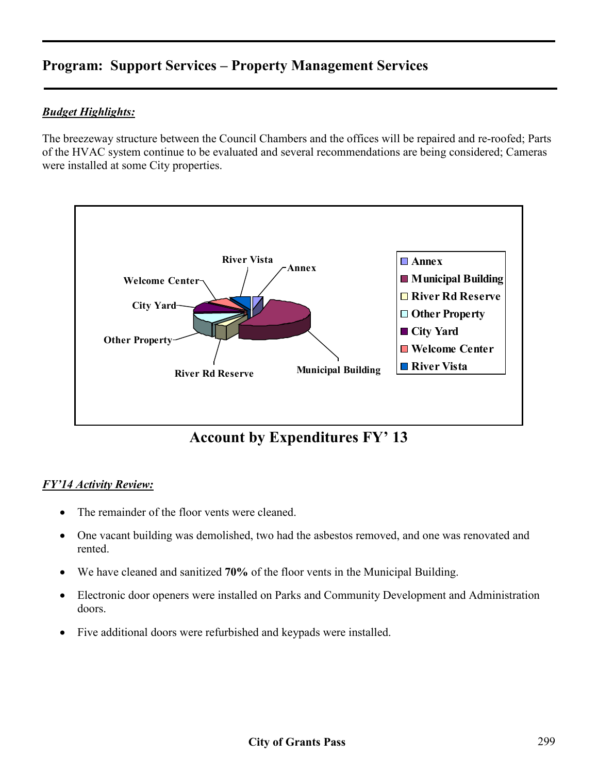## *Budget Highlights:*

The breezeway structure between the Council Chambers and the offices will be repaired and re-roofed; Parts of the HVAC system continue to be evaluated and several recommendations are being considered; Cameras were installed at some City properties.



**Account by Expenditures FY' 13**

#### *FY'14 Activity Review:*

- The remainder of the floor vents were cleaned.
- One vacant building was demolished, two had the asbestos removed, and one was renovated and rented.
- We have cleaned and sanitized **70%** of the floor vents in the Municipal Building.
- Electronic door openers were installed on Parks and Community Development and Administration doors.
- Five additional doors were refurbished and keypads were installed.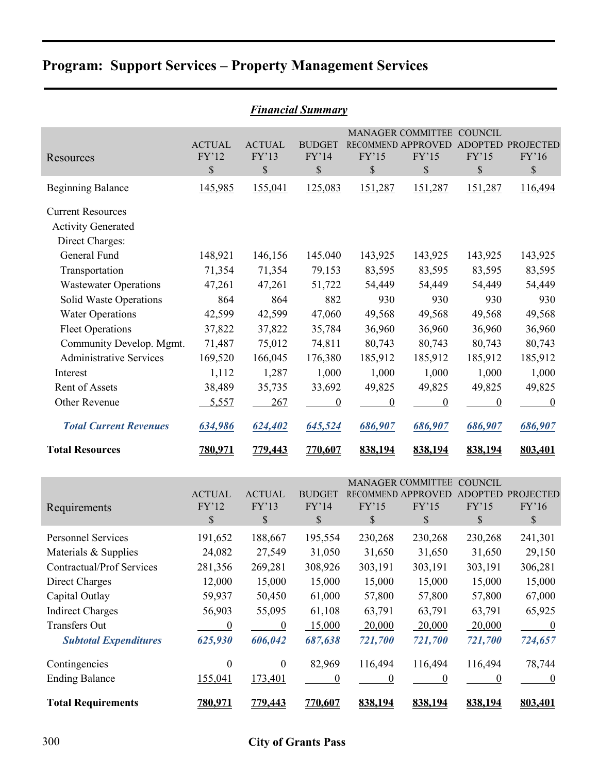| <b>Financial Summary</b>                                                                 |                              |                              |                              |                          |                                                                                    |                          |                            |  |  |
|------------------------------------------------------------------------------------------|------------------------------|------------------------------|------------------------------|--------------------------|------------------------------------------------------------------------------------|--------------------------|----------------------------|--|--|
| Resources                                                                                | <b>ACTUAL</b><br>FY'12<br>\$ | <b>ACTUAL</b><br>FY'13<br>\$ | <b>BUDGET</b><br>FY'14<br>\$ | FY'15<br>\$              | MANAGER COMMITTEE COUNCIL<br>RECOMMEND APPROVED ADOPTED PROJECTED<br>FY'15<br>\$   | FY'15<br>\$              | FY'16<br>$\$$              |  |  |
| <b>Beginning Balance</b>                                                                 | 145,985                      | 155,041                      | 125,083                      | 151,287                  | 151,287                                                                            | 151,287                  | 116,494                    |  |  |
| <b>Current Resources</b><br><b>Activity Generated</b><br>Direct Charges:<br>General Fund | 148,921                      | 146,156                      | 145,040                      | 143,925                  | 143,925                                                                            | 143,925                  | 143,925                    |  |  |
| Transportation                                                                           | 71,354                       | 71,354                       | 79,153                       | 83,595                   | 83,595                                                                             | 83,595                   | 83,595                     |  |  |
| <b>Wastewater Operations</b>                                                             | 47,261                       | 47,261                       | 51,722                       | 54,449                   | 54,449                                                                             | 54,449                   | 54,449                     |  |  |
| Solid Waste Operations<br><b>Water Operations</b><br><b>Fleet Operations</b>             | 864<br>42,599<br>37,822      | 864<br>42,599<br>37,822      | 882<br>47,060<br>35,784      | 930<br>49,568<br>36,960  | 930<br>49,568<br>36,960                                                            | 930<br>49,568<br>36,960  | 930<br>49,568<br>36,960    |  |  |
| Community Develop. Mgmt.<br><b>Administrative Services</b>                               | 71,487<br>169,520            | 75,012<br>166,045            | 74,811<br>176,380            | 80,743<br>185,912        | 80,743<br>185,912                                                                  | 80,743<br>185,912        | 80,743<br>185,912          |  |  |
| Interest                                                                                 | 1,112                        | 1,287                        | 1,000                        | 1,000                    | 1,000                                                                              | 1,000                    | 1,000                      |  |  |
| Rent of Assets<br>Other Revenue                                                          | 38,489<br>5,557              | 35,735<br>267                | 33,692<br>$\overline{0}$     | 49,825<br>$\overline{0}$ | 49,825<br>$\overline{0}$                                                           | 49,825<br>$\overline{0}$ | 49,825<br>$\boldsymbol{0}$ |  |  |
| <b>Total Current Revenues</b>                                                            | 634,986                      | 624,402                      | 645,524                      | 686,907                  | 686,907                                                                            | 686,907                  | 686,907                    |  |  |
| <b>Total Resources</b>                                                                   | 780,971                      | 779,443                      | 770,607                      | 838,194                  | 838,194                                                                            | 838,194                  | 803,401                    |  |  |
| Requirements                                                                             | <b>ACTUAL</b><br>FY'12<br>\$ | <b>ACTUAL</b><br>FY'13<br>\$ | <b>BUDGET</b><br>FY'14<br>\$ | FY'15<br>\$              | MANAGER COMMITTEE COUNCIL<br>RECOMMEND APPROVED ADOPTED PROJECTED<br>FY'15<br>$\$$ | FY'15<br>\$              | FY'16<br>\$                |  |  |
| Personnel Services<br>Materials & Supplies                                               | 191,652<br>24,082            | 188,667<br>27,549            | 195,554<br>31,050            | 230,268<br>31,650        | 230,268<br>31,650                                                                  | 230,268<br>31,650        | 241,301<br>29,150          |  |  |
| Contractual/Prof Services                                                                | 281,356                      | 269,281                      | 308,926                      | 303,191                  | 303,191                                                                            | 303,191                  | 306,281                    |  |  |
| Direct Charges<br>Capital Outlay                                                         | 12,000<br>59,937             | 15,000<br>50,450             | 15,000<br>61,000             | 15,000<br>57,800         | 15,000<br>57,800                                                                   | 15,000<br>57,800         | 15,000<br>67,000           |  |  |
| <b>Indirect Charges</b>                                                                  | 56,903                       | 55,095                       | 61,108                       | 63,791                   | 63,791                                                                             | 63,791                   | 65,925                     |  |  |

Transfers Out  $\frac{0}{20,000}$   $\frac{15,000}{20,000}$   $\frac{20,000}{20,000}$   $\frac{20,000}{20,000}$   $\frac{0}{20,000}$  *Subtotal Expenditures 625,930 606,042 687,638 721,700 721,700 721,700 724,657*

Contingencies 0 0 82,969 116,494 116,494 78,744 Ending Balance  $\frac{155,041}{173,401}$   $\frac{173,401}{0}$   $\frac{0}{0}$   $\frac{0}{0}$   $\frac{0}{0}$ 

**Total Requirements 780,971 779,443 770,607 838,194 838,194 838,194 803,401**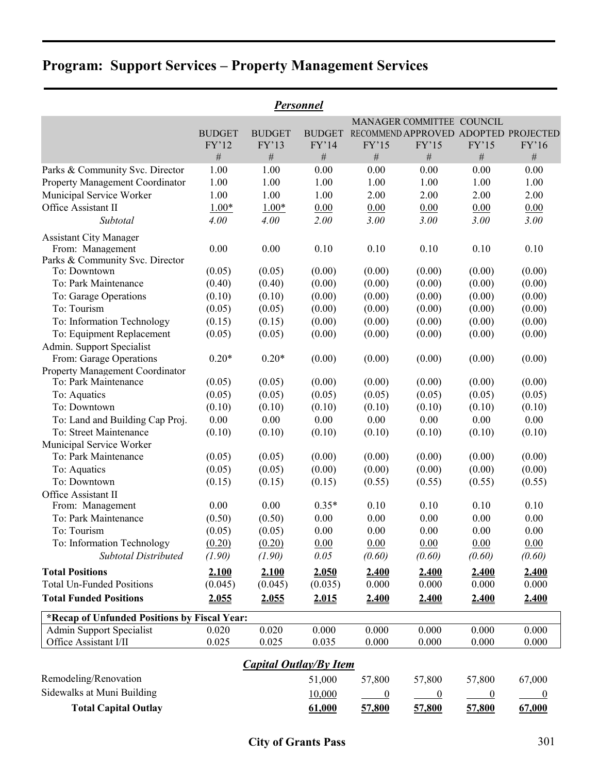|                                                                                 |               |                               | Personnel     |                  |                                      |                  |                  |
|---------------------------------------------------------------------------------|---------------|-------------------------------|---------------|------------------|--------------------------------------|------------------|------------------|
|                                                                                 |               |                               |               |                  | MANAGER COMMITTEE COUNCIL            |                  |                  |
|                                                                                 | <b>BUDGET</b> | <b>BUDGET</b>                 | <b>BUDGET</b> |                  | RECOMMEND APPROVED ADOPTED PROJECTED |                  |                  |
|                                                                                 | FY'12         | FY'13                         | FY'14         | FY'15            | FY'15                                | FY'15            | FY'16            |
|                                                                                 | $\#$          | $\#$                          | $\#$          | $\#$             | $\#$                                 | $\#$             | $\#$             |
| Parks & Community Svc. Director                                                 | 1.00          | 1.00                          | 0.00          | 0.00             | 0.00                                 | 0.00             | 0.00             |
| Property Management Coordinator                                                 | 1.00          | 1.00                          | 1.00          | 1.00             | 1.00                                 | 1.00             | 1.00             |
| Municipal Service Worker                                                        | 1.00          | 1.00                          | 1.00          | 2.00             | 2.00                                 | 2.00             | 2.00             |
| Office Assistant II                                                             | $1.00*$       | $1.00*$                       | 0.00          | 0.00             | 0.00                                 | 0.00             | 0.00             |
| Subtotal                                                                        | 4.00          | 4.00                          | 2.00          | 3.00             | 3.00                                 | 3.00             | 3.00             |
| <b>Assistant City Manager</b>                                                   |               |                               |               |                  |                                      |                  |                  |
| From: Management                                                                | 0.00          | 0.00                          | 0.10          | 0.10             | 0.10                                 | 0.10             | 0.10             |
| Parks & Community Svc. Director                                                 |               |                               |               |                  |                                      |                  |                  |
| To: Downtown                                                                    | (0.05)        | (0.05)                        | (0.00)        | (0.00)           | (0.00)                               | (0.00)           | (0.00)           |
| To: Park Maintenance                                                            | (0.40)        | (0.40)                        | (0.00)        | (0.00)           | (0.00)                               | (0.00)           | (0.00)           |
| To: Garage Operations                                                           | (0.10)        | (0.10)                        | (0.00)        | (0.00)           | (0.00)                               | (0.00)           | (0.00)           |
| To: Tourism                                                                     | (0.05)        | (0.05)                        | (0.00)        | (0.00)           | (0.00)                               | (0.00)           | (0.00)           |
| To: Information Technology                                                      | (0.15)        | (0.15)                        | (0.00)        | (0.00)           | (0.00)                               | (0.00)           | (0.00)           |
| To: Equipment Replacement                                                       | (0.05)        | (0.05)                        | (0.00)        | (0.00)           | (0.00)                               | (0.00)           | (0.00)           |
| Admin. Support Specialist                                                       |               |                               |               |                  |                                      |                  |                  |
| From: Garage Operations                                                         | $0.20*$       | $0.20*$                       | (0.00)        | (0.00)           | (0.00)                               | (0.00)           | (0.00)           |
| Property Management Coordinator<br>To: Park Maintenance                         | (0.05)        | (0.05)                        | (0.00)        | (0.00)           | (0.00)                               | (0.00)           | (0.00)           |
| To: Aquatics                                                                    | (0.05)        | (0.05)                        | (0.05)        | (0.05)           | (0.05)                               | (0.05)           | (0.05)           |
| To: Downtown                                                                    | (0.10)        | (0.10)                        | (0.10)        | (0.10)           | (0.10)                               | (0.10)           | (0.10)           |
| To: Land and Building Cap Proj.                                                 | 0.00          | 0.00                          | 0.00          | 0.00             | 0.00                                 | 0.00             | 0.00             |
| To: Street Maintenance                                                          | (0.10)        | (0.10)                        | (0.10)        | (0.10)           | (0.10)                               | (0.10)           | (0.10)           |
| Municipal Service Worker                                                        |               |                               |               |                  |                                      |                  |                  |
| To: Park Maintenance                                                            | (0.05)        | (0.05)                        | (0.00)        | (0.00)           | (0.00)                               | (0.00)           | (0.00)           |
| To: Aquatics                                                                    | (0.05)        | (0.05)                        | (0.00)        | (0.00)           | (0.00)                               | (0.00)           | (0.00)           |
| To: Downtown                                                                    | (0.15)        | (0.15)                        | (0.15)        | (0.55)           | (0.55)                               | (0.55)           | (0.55)           |
| Office Assistant II                                                             |               |                               |               |                  |                                      |                  |                  |
| From: Management                                                                | 0.00          | 0.00                          | $0.35*$       | 0.10             | 0.10                                 | 0.10             | 0.10             |
| To: Park Maintenance                                                            | (0.50)        | (0.50)                        | 0.00          | 0.00             | 0.00                                 | 0.00             | 0.00             |
| To: Tourism                                                                     | (0.05)        | (0.05)                        | 0.00          | 0.00             | 0.00                                 | 0.00             | 0.00             |
| To: Information Technology                                                      | (0.20)        | (0.20)                        | 0.00          | 0.00             | 0.00                                 | 0.00             | 0.00             |
| <b>Subtotal Distributed</b>                                                     | (1.90)        | (1.90)                        | 0.05          | (0.60)           | (0.60)                               | (0.60)           | (0.60)           |
| <b>Total Positions</b>                                                          | 2.100         | 2.100                         | 2.050         | 2.400            | 2.400                                | 2.400            | 2.400            |
| <b>Total Un-Funded Positions</b>                                                | (0.045)       | (0.045)                       | (0.035)       | 0.000            | 0.000                                | 0.000            | 0.000            |
| <b>Total Funded Positions</b>                                                   | 2.055         | 2.055                         | <u>2.015</u>  | 2.400            | 2.400                                | 2.400            | 2.400            |
|                                                                                 |               |                               |               |                  |                                      |                  |                  |
| *Recap of Unfunded Positions by Fiscal Year:<br><b>Admin Support Specialist</b> | 0.020         | 0.020                         | 0.000         | 0.000            | 0.000                                | 0.000            | 0.000            |
| Office Assistant I/II                                                           | 0.025         | 0.025                         | 0.035         | 0.000            | 0.000                                | 0.000            | 0.000            |
|                                                                                 |               |                               |               |                  |                                      |                  |                  |
|                                                                                 |               | <b>Capital Outlay/By Item</b> |               |                  |                                      |                  |                  |
| Remodeling/Renovation                                                           |               |                               | 51,000        | 57,800           | 57,800                               | 57,800           | 67,000           |
| Sidewalks at Muni Building                                                      |               |                               | 10,000        | $\boldsymbol{0}$ | $\boldsymbol{0}$                     | $\boldsymbol{0}$ | $\boldsymbol{0}$ |

**Total Capital Outlay 61,000 57,800 57,800 57,800 67,000**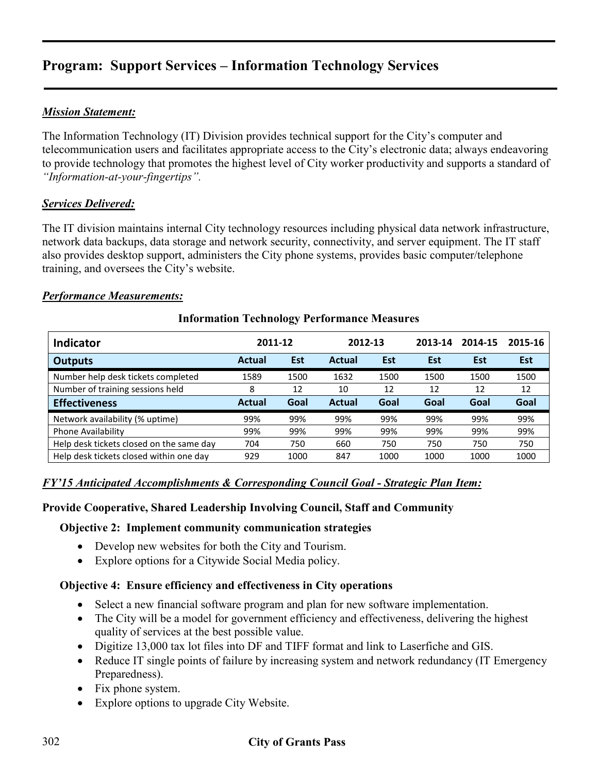## *Mission Statement:*

The Information Technology (IT) Division provides technical support for the City's computer and telecommunication users and facilitates appropriate access to the City's electronic data; always endeavoring to provide technology that promotes the highest level of City worker productivity and supports a standard of *"Information-at-your-fingertips".*

### *Services Delivered:*

The IT division maintains internal City technology resources including physical data network infrastructure, network data backups, data storage and network security, connectivity, and server equipment. The IT staff also provides desktop support, administers the City phone systems, provides basic computer/telephone training, and oversees the City's website.

#### *Performance Measurements:*

| <b>Indicator</b>                         | 2011-12       |            | 2012-13       |      | 2013-14 | 2014-15 | 2015-16    |
|------------------------------------------|---------------|------------|---------------|------|---------|---------|------------|
| <b>Outputs</b>                           | <b>Actual</b> | <b>Est</b> | Actual        | Est  | Est     | Est     | <b>Est</b> |
| Number help desk tickets completed       | 1589          | 1500       | 1632          | 1500 | 1500    | 1500    | 1500       |
| Number of training sessions held         | 8             | 12         | 10            | 12   | 12      | 12      | 12         |
| <b>Effectiveness</b>                     | <b>Actual</b> | Goal       | <b>Actual</b> | Goal | Goal    | Goal    | Goal       |
| Network availability (% uptime)          | 99%           | 99%        | 99%           | 99%  | 99%     | 99%     | 99%        |
| Phone Availability                       | 99%           | 99%        | 99%           | 99%  | 99%     | 99%     | 99%        |
| Help desk tickets closed on the same day | 704           | 750        | 660           | 750  | 750     | 750     | 750        |
| Help desk tickets closed within one day  | 929           | 1000       | 847           | 1000 | 1000    | 1000    | 1000       |

### **Information Technology Performance Measures**

#### *FY'15 Anticipated Accomplishments & Corresponding Council Goal - Strategic Plan Item:*

#### **Provide Cooperative, Shared Leadership Involving Council, Staff and Community**

#### **Objective 2: Implement community communication strategies**

- Develop new websites for both the City and Tourism.
- Explore options for a Citywide Social Media policy.

#### **Objective 4: Ensure efficiency and effectiveness in City operations**

- Select a new financial software program and plan for new software implementation.
- The City will be a model for government efficiency and effectiveness, delivering the highest quality of services at the best possible value.
- Digitize 13,000 tax lot files into DF and TIFF format and link to Laserfiche and GIS.
- Reduce IT single points of failure by increasing system and network redundancy (IT Emergency Preparedness).
- Fix phone system.
- Explore options to upgrade City Website.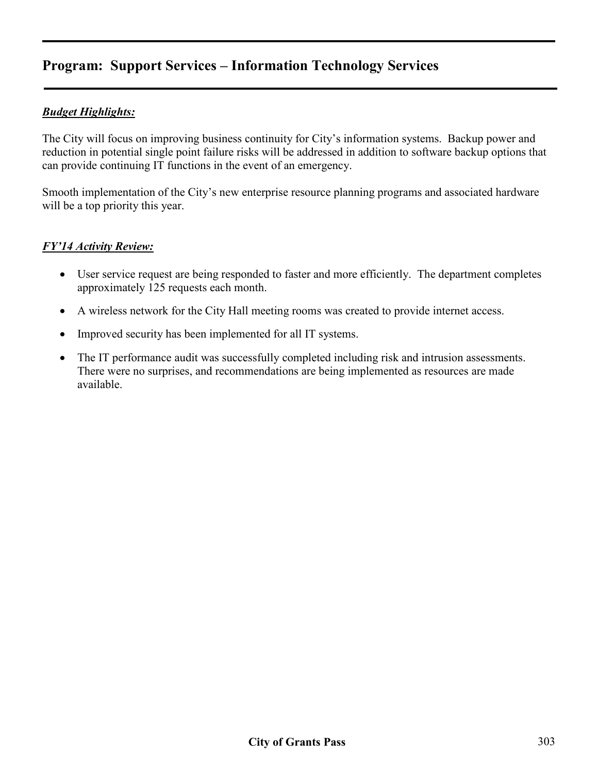### *Budget Highlights:*

The City will focus on improving business continuity for City's information systems. Backup power and reduction in potential single point failure risks will be addressed in addition to software backup options that can provide continuing IT functions in the event of an emergency.

Smooth implementation of the City's new enterprise resource planning programs and associated hardware will be a top priority this year.

#### *FY'14 Activity Review:*

- User service request are being responded to faster and more efficiently. The department completes approximately 125 requests each month.
- A wireless network for the City Hall meeting rooms was created to provide internet access.
- Improved security has been implemented for all IT systems.
- The IT performance audit was successfully completed including risk and intrusion assessments. There were no surprises, and recommendations are being implemented as resources are made available.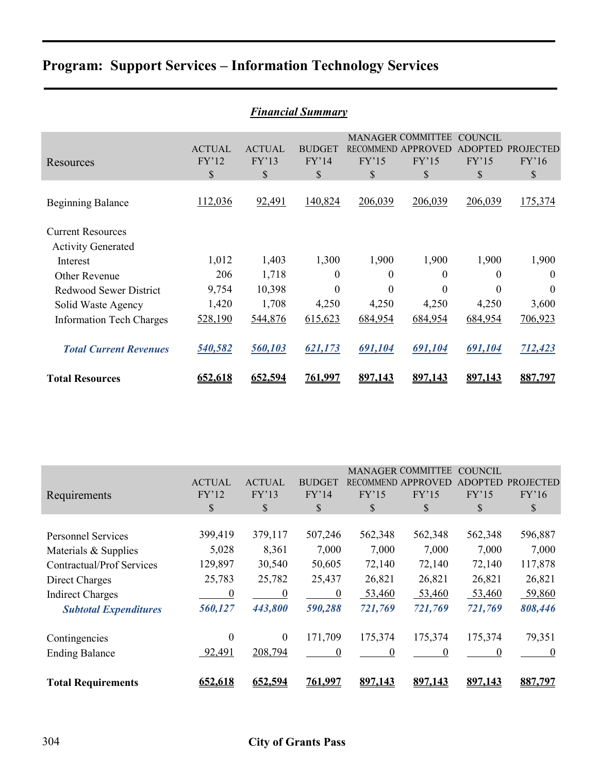| <b>Financial Summary</b>                              |                                         |                                        |                                        |             |                                                               |                                          |                                 |  |  |  |
|-------------------------------------------------------|-----------------------------------------|----------------------------------------|----------------------------------------|-------------|---------------------------------------------------------------|------------------------------------------|---------------------------------|--|--|--|
| Resources                                             | <b>ACTUAL</b><br>FY'12<br>$\mathcal{S}$ | <b>ACTUAL</b><br>FY'13<br>$\mathbb{S}$ | <b>BUDGET</b><br>FY'14<br>$\mathbb{S}$ | FY'15<br>\$ | <b>MANAGER COMMITTEE</b><br>RECOMMEND APPROVED<br>FY'15<br>\$ | COUNCIL<br><b>ADOPTED</b><br>FY'15<br>\$ | <b>PROJECTED</b><br>FY'16<br>\$ |  |  |  |
| <b>Beginning Balance</b>                              | 112,036                                 | 92,491                                 | 140,824                                | 206,039     | 206,039                                                       | 206,039                                  | 175,374                         |  |  |  |
| <b>Current Resources</b><br><b>Activity Generated</b> |                                         |                                        |                                        |             |                                                               |                                          |                                 |  |  |  |
| Interest                                              | 1,012                                   | 1,403                                  | 1,300                                  | 1,900       | 1,900                                                         | 1,900                                    | 1,900                           |  |  |  |
| Other Revenue                                         | 206                                     | 1,718                                  | $\theta$                               | $\theta$    | 0                                                             | $\Omega$                                 | $\Omega$                        |  |  |  |
| Redwood Sewer District                                | 9,754                                   | 10,398                                 | $\theta$                               | $\theta$    | $\theta$                                                      | 0                                        | $\Omega$                        |  |  |  |
| Solid Waste Agency                                    | 1,420                                   | 1,708                                  | 4,250                                  | 4,250       | 4,250                                                         | 4,250                                    | 3,600                           |  |  |  |
| <b>Information Tech Charges</b>                       | 528,190                                 | 544,876                                | 615,623                                | 684,954     | 684,954                                                       | 684,954                                  | 706,923                         |  |  |  |
| <b>Total Current Revenues</b>                         | 540,582                                 | 560,103                                | 621,173                                | 691,104     | 691,104                                                       | 691,104                                  | 712,423                         |  |  |  |
| <b>Total Resources</b>                                | 652,618                                 | 652,594                                | <u>761,997</u>                         | 897,143     | 897.143                                                       | 897,143                                  | 887,797                         |  |  |  |

|                                  |                  |                |                  |          | <b>MANAGER COMMITTEE</b> | <b>COUNCIL</b> |                  |
|----------------------------------|------------------|----------------|------------------|----------|--------------------------|----------------|------------------|
|                                  | <b>ACTUAL</b>    | <b>ACTUAL</b>  | <b>BUDGET</b>    |          | RECOMMEND APPROVED       | <b>ADOPTED</b> | <b>PROJECTED</b> |
| Requirements                     | FY'12            | FY'13          | FY'14            | FY'15    | FY'15                    | FY'15          | FY'16            |
|                                  | \$               | S              | \$               | \$       | \$                       | \$             | S                |
|                                  |                  |                |                  |          |                          |                |                  |
| <b>Personnel Services</b>        | 399,419          | 379,117        | 507,246          | 562,348  | 562,348                  | 562,348        | 596,887          |
| Materials & Supplies             | 5,028            | 8,361          | 7,000            | 7,000    | 7,000                    | 7,000          | 7,000            |
| <b>Contractual/Prof Services</b> | 129,897          | 30,540         | 50,605           | 72,140   | 72,140                   | 72,140         | 117,878          |
| Direct Charges                   | 25,783           | 25,782         | 25,437           | 26,821   | 26,821                   | 26,821         | 26,821           |
| <b>Indirect Charges</b>          | $\boldsymbol{0}$ | $\overline{0}$ | $\boldsymbol{0}$ | 53,460   | 53,460                   | 53,460         | 59,860           |
| <b>Subtotal Expenditures</b>     | 560,127          | 443,800        | 590,288          | 721,769  | 721,769                  | 721,769        | 808,446          |
| Contingencies                    | $\theta$         | $\mathbf{0}$   | 171,709          | 175,374  | 175,374                  | 175,374        | 79,351           |
|                                  |                  |                |                  |          |                          |                |                  |
| <b>Ending Balance</b>            | 92,491           | 208,794        | $\theta$         | $\Omega$ | 0                        | $\theta$       | $\theta$         |
| <b>Total Requirements</b>        | 652,618          | 652,594        | 761.997          | 897.143  | 897.143                  | 897.143        | 887,797          |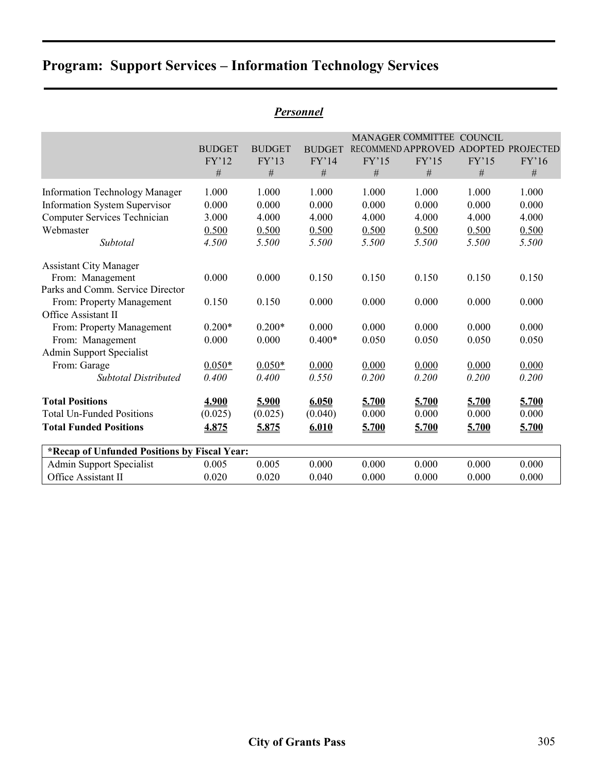| <i><b>Personnel</b></i>                      |               |               |               |       |                          |                |                   |  |  |  |  |
|----------------------------------------------|---------------|---------------|---------------|-------|--------------------------|----------------|-------------------|--|--|--|--|
|                                              |               |               |               |       | <b>MANAGER COMMITTEE</b> | <b>COUNCIL</b> |                   |  |  |  |  |
|                                              | <b>BUDGET</b> | <b>BUDGET</b> | <b>BUDGET</b> |       | RECOMMEND APPROVED       |                | ADOPTED PROJECTED |  |  |  |  |
|                                              | FY'12         | FY'13         | FY'14         | FY'15 | FY'15                    | FY'15          | FY'16             |  |  |  |  |
|                                              | $\#$          | #             | $\#$          | $\#$  | $\#$                     | $\#$           | $\#$              |  |  |  |  |
| <b>Information Technology Manager</b>        | 1.000         | 1.000         | 1.000         | 1.000 | 1.000                    | 1.000          | 1.000             |  |  |  |  |
| <b>Information System Supervisor</b>         | 0.000         | 0.000         | 0.000         | 0.000 | 0.000                    | 0.000          | 0.000             |  |  |  |  |
| <b>Computer Services Technician</b>          | 3.000         | 4.000         | 4.000         | 4.000 | 4.000                    | 4.000          | 4.000             |  |  |  |  |
| Webmaster                                    | 0.500         | 0.500         | 0.500         | 0.500 | 0.500                    | 0.500          | 0.500             |  |  |  |  |
| Subtotal                                     | 4.500         | 5.500         | 5.500         | 5.500 | 5.500                    | 5.500          | 5.500             |  |  |  |  |
| <b>Assistant City Manager</b>                |               |               |               |       |                          |                |                   |  |  |  |  |
| From: Management                             | 0.000         | 0.000         | 0.150         | 0.150 | 0.150                    | 0.150          | 0.150             |  |  |  |  |
| Parks and Comm. Service Director             |               |               |               |       |                          |                |                   |  |  |  |  |
| From: Property Management                    | 0.150         | 0.150         | 0.000         | 0.000 | 0.000                    | 0.000          | 0.000             |  |  |  |  |
| Office Assistant II                          |               |               |               |       |                          |                |                   |  |  |  |  |
| From: Property Management                    | $0.200*$      | $0.200*$      | 0.000         | 0.000 | 0.000                    | 0.000          | 0.000             |  |  |  |  |
| From: Management                             | 0.000         | 0.000         | $0.400*$      | 0.050 | 0.050                    | 0.050          | 0.050             |  |  |  |  |
| <b>Admin Support Specialist</b>              |               |               |               |       |                          |                |                   |  |  |  |  |
| From: Garage                                 | $0.050*$      | $0.050*$      | 0.000         | 0.000 | 0.000                    | 0.000          | 0.000             |  |  |  |  |
| <b>Subtotal Distributed</b>                  | 0.400         | 0.400         | 0.550         | 0.200 | 0.200                    | 0.200          | 0.200             |  |  |  |  |
| <b>Total Positions</b>                       | 4.900         | 5.900         | 6.050         | 5.700 | 5.700                    | 5.700          | 5.700             |  |  |  |  |
| <b>Total Un-Funded Positions</b>             | (0.025)       | (0.025)       | (0.040)       | 0.000 | 0.000                    | 0.000          | 0.000             |  |  |  |  |
| <b>Total Funded Positions</b>                | 4.875         | 5.875         | 6.010         | 5.700 | 5.700                    | 5.700          | 5.700             |  |  |  |  |
| *Recap of Unfunded Positions by Fiscal Year: |               |               |               |       |                          |                |                   |  |  |  |  |
| <b>Admin Support Specialist</b>              | 0.005         | 0.005         | 0.000         | 0.000 | 0.000                    | 0.000          | 0.000             |  |  |  |  |
| Office Assistant II                          | 0.020         | 0.020         | 0.040         | 0.000 | 0.000                    | 0.000          | 0.000             |  |  |  |  |

# *Personnel*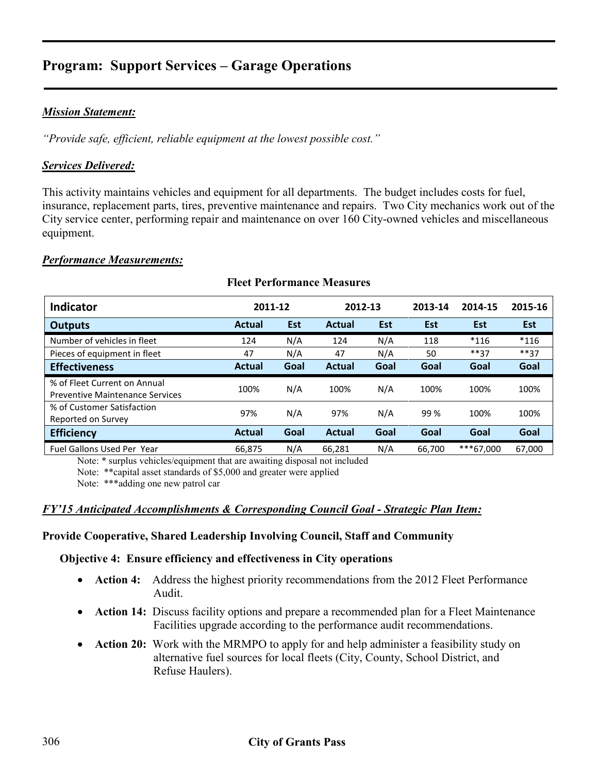#### *Mission Statement:*

*"Provide safe, efficient, reliable equipment at the lowest possible cost."* 

#### *Services Delivered:*

This activity maintains vehicles and equipment for all departments. The budget includes costs for fuel, insurance, replacement parts, tires, preventive maintenance and repairs. Two City mechanics work out of the City service center, performing repair and maintenance on over 160 City-owned vehicles and miscellaneous equipment.

#### *Performance Measurements:*

### **Fleet Performance Measures**

| <b>Indicator</b>                                                       | 2011-12       |            | 2012-13       |            | 2013-14 | 2014-15   | 2015-16    |
|------------------------------------------------------------------------|---------------|------------|---------------|------------|---------|-----------|------------|
| <b>Outputs</b>                                                         | <b>Actual</b> | <b>Est</b> | Actual        | <b>Est</b> | Est     | Est       | <b>Est</b> |
| Number of vehicles in fleet                                            | 124           | N/A        | 124           | N/A        | 118     | $*116$    | $*116$     |
| Pieces of equipment in fleet                                           | 47            | N/A        | 47            | N/A        | 50      | $***37$   | $***37$    |
| <b>Effectiveness</b>                                                   | <b>Actual</b> | Goal       | <b>Actual</b> | Goal       | Goal    | Goal      | Goal       |
| % of Fleet Current on Annual<br><b>Preventive Maintenance Services</b> | 100%          | N/A        | 100%          | N/A        | 100%    | 100%      | 100%       |
| % of Customer Satisfaction<br>Reported on Survey                       | 97%           | N/A        | 97%           | N/A        | 99 %    | 100%      | 100%       |
| <b>Efficiency</b>                                                      | <b>Actual</b> | Goal       | <b>Actual</b> | Goal       | Goal    | Goal      | Goal       |
| <b>Fuel Gallons Used Per Year</b>                                      | 66.875        | N/A        | 66,281        | N/A        | 66.700  | ***67.000 | 67,000     |

Note: \* surplus vehicles/equipment that are awaiting disposal not included

Note: \*\*capital asset standards of \$5,000 and greater were applied

Note: \*\*\*adding one new patrol car

#### *FY'15 Anticipated Accomplishments & Corresponding Council Goal - Strategic Plan Item:*

#### **Provide Cooperative, Shared Leadership Involving Council, Staff and Community**

#### **Objective 4: Ensure efficiency and effectiveness in City operations**

- **Action 4:** Address the highest priority recommendations from the 2012 Fleet Performance Audit.
- **Action 14:** Discuss facility options and prepare a recommended plan for a Fleet Maintenance Facilities upgrade according to the performance audit recommendations.
- **Action 20:** Work with the MRMPO to apply for and help administer a feasibility study on alternative fuel sources for local fleets (City, County, School District, and Refuse Haulers).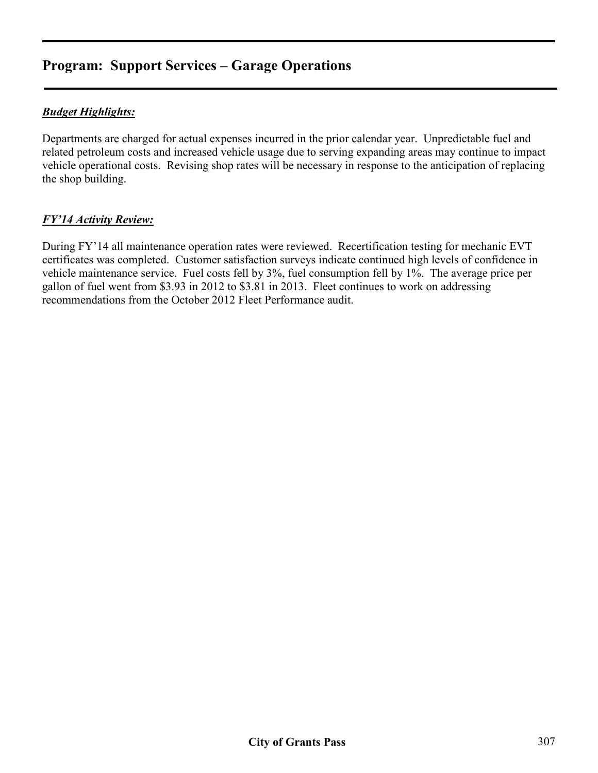## *Budget Highlights:*

Departments are charged for actual expenses incurred in the prior calendar year. Unpredictable fuel and related petroleum costs and increased vehicle usage due to serving expanding areas may continue to impact vehicle operational costs. Revising shop rates will be necessary in response to the anticipation of replacing the shop building.

### *FY'14 Activity Review:*

During FY'14 all maintenance operation rates were reviewed. Recertification testing for mechanic EVT certificates was completed. Customer satisfaction surveys indicate continued high levels of confidence in vehicle maintenance service. Fuel costs fell by 3%, fuel consumption fell by 1%. The average price per gallon of fuel went from \$3.93 in 2012 to \$3.81 in 2013. Fleet continues to work on addressing recommendations from the October 2012 Fleet Performance audit.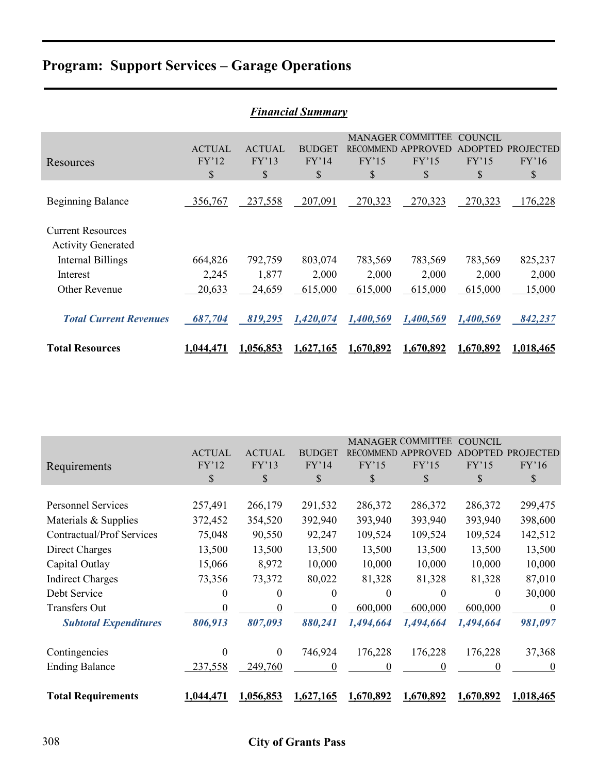| <b>Financial Summary</b>                                                   |                              |                              |                              |                  |                                                               |                                   |                                 |  |  |  |
|----------------------------------------------------------------------------|------------------------------|------------------------------|------------------------------|------------------|---------------------------------------------------------------|-----------------------------------|---------------------------------|--|--|--|
| Resources                                                                  | <b>ACTUAL</b><br>FY'12<br>\$ | <b>ACTUAL</b><br>FY'13<br>\$ | <b>BUDGET</b><br>FY'14<br>\$ | FY'15<br>\$      | <b>MANAGER COMMITTEE</b><br>RECOMMEND APPROVED<br>FY'15<br>\$ | COUNCIL<br>ADOPTED<br>FY'15<br>\$ | <b>PROJECTED</b><br>FY'16<br>\$ |  |  |  |
| <b>Beginning Balance</b>                                                   | 356,767                      | 237,558                      | 207,091                      | 270,323          | 270,323                                                       | 270,323                           | 176,228                         |  |  |  |
| <b>Current Resources</b><br><b>Activity Generated</b><br>Internal Billings | 664,826                      | 792,759                      | 803,074                      | 783,569          | 783,569                                                       | 783,569                           | 825,237                         |  |  |  |
| Interest<br>Other Revenue                                                  | 2,245<br>20,633              | 1,877<br>24,659              | 2,000<br>615,000             | 2,000<br>615,000 | 2,000<br>615,000                                              | 2,000<br>615,000                  | 2,000<br>15,000                 |  |  |  |
| <b>Total Current Revenues</b>                                              | 687,704                      | 819,295                      | 1,420,074                    | 1,400,569        | 1,400,569                                                     | 1,400,569                         | 842,237                         |  |  |  |
| <b>Total Resources</b>                                                     | 1.044.471                    | <u>1.056.853</u>             | 1.627.165                    | 1.670.892        | 1.670.892                                                     | 1.670,892                         | 1.018.465                       |  |  |  |

|                                  |               |                  |               |                | <b>MANAGER COMMITTEE</b> | COUNCIL   |           |
|----------------------------------|---------------|------------------|---------------|----------------|--------------------------|-----------|-----------|
|                                  | <b>ACTUAL</b> | <b>ACTUAL</b>    | <b>BUDGET</b> | <b>RECOMME</b> |                          |           | PROJECTED |
| Requirements                     | FY'12         | FY'13            | FY'14         | FY'15          | FY'15                    | FY'15     | FY'16     |
|                                  | \$            | \$               | \$            | \$             | \$                       | \$        | \$        |
|                                  |               |                  |               |                |                          |           |           |
| <b>Personnel Services</b>        | 257,491       | 266,179          | 291,532       | 286,372        | 286,372                  | 286,372   | 299,475   |
| Materials & Supplies             | 372,452       | 354,520          | 392,940       | 393,940        | 393,940                  | 393,940   | 398,600   |
| <b>Contractual/Prof Services</b> | 75,048        | 90,550           | 92,247        | 109,524        | 109,524                  | 109,524   | 142,512   |
| Direct Charges                   | 13,500        | 13,500           | 13,500        | 13,500         | 13,500                   | 13,500    | 13,500    |
| Capital Outlay                   | 15,066        | 8,972            | 10,000        | 10,000         | 10,000                   | 10,000    | 10,000    |
| <b>Indirect Charges</b>          | 73,356        | 73,372           | 80,022        | 81,328         | 81,328                   | 81,328    | 87,010    |
| Debt Service                     | 0             | 0                | $\theta$      | 0              | $\theta$                 | $\theta$  | 30,000    |
| Transfers Out                    | $\theta$      | $\theta$         | $\theta$      | 600,000        | 600,000                  | 600,000   | $\theta$  |
| <b>Subtotal Expenditures</b>     | 806,913       | 807,093          | 880,241       | 1,494,664      | 1,494,664                | 1,494,664 | 981,097   |
|                                  |               |                  |               |                |                          |           |           |
| Contingencies                    | $\theta$      | $\theta$         | 746,924       | 176,228        | 176,228                  | 176,228   | 37,368    |
| <b>Ending Balance</b>            | 237,558       | 249,760          | $\Omega$      | 0              | $\Omega$                 | 0         | $\theta$  |
| <b>Total Requirements</b>        | 1,044,471     | <b>1.056.853</b> | 1.627.165     | 1.670.892      | 1,670,892                | 1.670.892 | 1,018,465 |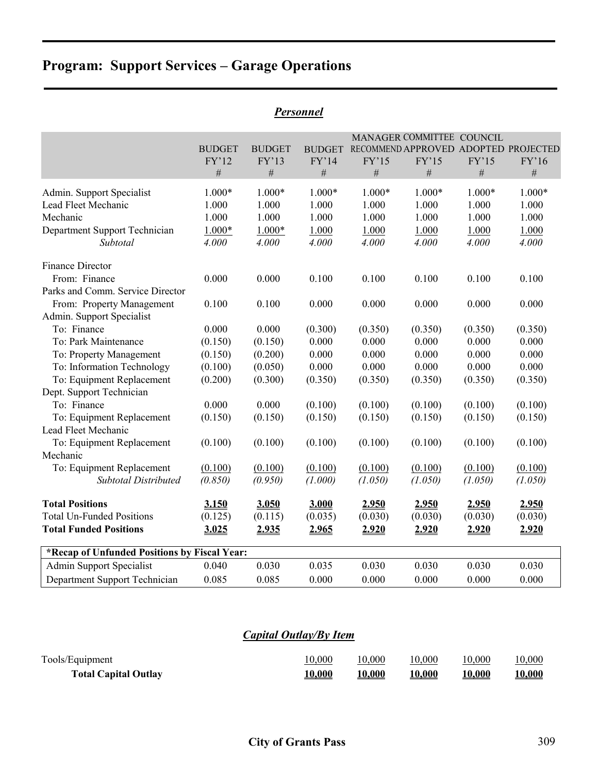| Personnel |
|-----------|
|-----------|

|                                              | <b>BUDGET</b><br>FY'12<br>$\#$ | <b>BUDGET</b><br>FY'13<br>$\#$ | <b>BUDGET</b><br>FY'14<br>$\#$ | FY'15<br>$\#$ | MANAGER COMMITTEE COUNCIL<br>FY'15<br>$\#$ | FY'15<br>$\#$ | RECOMMEND APPROVED ADOPTED PROJECTED<br>FY'16<br># |
|----------------------------------------------|--------------------------------|--------------------------------|--------------------------------|---------------|--------------------------------------------|---------------|----------------------------------------------------|
| Admin. Support Specialist                    | 1.000*                         | $1.000*$                       | $1.000*$                       | $1.000*$      | 1.000*                                     | $1.000*$      | 1.000*                                             |
| Lead Fleet Mechanic                          | 1.000                          | 1.000                          | 1.000                          | 1.000         | 1.000                                      | 1.000         | 1.000                                              |
| Mechanic                                     | 1.000                          | 1.000                          | 1.000                          | 1.000         | 1.000                                      | 1.000         | 1.000                                              |
| Department Support Technician                | $1.000*$                       | $1.000*$                       | 1.000                          | 1.000         | 1.000                                      | 1.000         | 1.000                                              |
| Subtotal                                     | 4.000                          | 4.000                          | 4.000                          | 4.000         | 4.000                                      | 4.000         | 4.000                                              |
| <b>Finance Director</b>                      |                                |                                |                                |               |                                            |               |                                                    |
| From: Finance                                | 0.000                          | 0.000                          | 0.100                          | 0.100         | 0.100                                      | 0.100         | 0.100                                              |
| Parks and Comm. Service Director             |                                |                                |                                |               |                                            |               |                                                    |
| From: Property Management                    | 0.100                          | 0.100                          | 0.000                          | 0.000         | 0.000                                      | 0.000         | 0.000                                              |
| Admin. Support Specialist                    |                                |                                |                                |               |                                            |               |                                                    |
| To: Finance                                  | 0.000                          | 0.000                          | (0.300)                        | (0.350)       | (0.350)                                    | (0.350)       | (0.350)                                            |
| To: Park Maintenance                         | (0.150)                        | (0.150)                        | 0.000                          | 0.000         | 0.000                                      | 0.000         | 0.000                                              |
| To: Property Management                      | (0.150)                        | (0.200)                        | 0.000                          | 0.000         | 0.000                                      | 0.000         | 0.000                                              |
| To: Information Technology                   | (0.100)                        | (0.050)                        | 0.000                          | 0.000         | 0.000                                      | 0.000         | 0.000                                              |
| To: Equipment Replacement                    | (0.200)                        | (0.300)                        | (0.350)                        | (0.350)       | (0.350)                                    | (0.350)       | (0.350)                                            |
| Dept. Support Technician                     |                                |                                |                                |               |                                            |               |                                                    |
| To: Finance                                  | 0.000                          | 0.000                          | (0.100)                        | (0.100)       | (0.100)                                    | (0.100)       | (0.100)                                            |
| To: Equipment Replacement                    | (0.150)                        | (0.150)                        | (0.150)                        | (0.150)       | (0.150)                                    | (0.150)       | (0.150)                                            |
| Lead Fleet Mechanic                          |                                |                                |                                |               |                                            |               |                                                    |
| To: Equipment Replacement                    | (0.100)                        | (0.100)                        | (0.100)                        | (0.100)       | (0.100)                                    | (0.100)       | (0.100)                                            |
| Mechanic                                     |                                |                                |                                |               |                                            |               |                                                    |
| To: Equipment Replacement                    | (0.100)                        | (0.100)                        | (0.100)                        | (0.100)       | (0.100)                                    | (0.100)       | (0.100)                                            |
| <b>Subtotal Distributed</b>                  | (0.850)                        | (0.950)                        | (1.000)                        | (1.050)       | (1.050)                                    | (1.050)       | (1.050)                                            |
| <b>Total Positions</b>                       | 3.150                          | 3.050                          | 3.000                          | 2.950         | 2.950                                      | 2.950         | 2.950                                              |
| <b>Total Un-Funded Positions</b>             | (0.125)                        | (0.115)                        | (0.035)                        | (0.030)       | (0.030)                                    | (0.030)       | (0.030)                                            |
| <b>Total Funded Positions</b>                | 3.025                          | 2.935                          | 2.965                          | 2.920         | 2.920                                      | 2.920         | 2.920                                              |
| *Recap of Unfunded Positions by Fiscal Year: |                                |                                |                                |               |                                            |               |                                                    |
| <b>Admin Support Specialist</b>              | 0.040                          | 0.030                          | 0.035                          | 0.030         | 0.030                                      | 0.030         | 0.030                                              |
| Department Support Technician                | 0.085                          | 0.085                          | 0.000                          | 0.000         | 0.000                                      | 0.000         | 0.000                                              |

## *Capital Outlay/By Item*

| Tools/Equipment             | 10,000         | 10,000         | 10,000        | 10,000        | 10,000         |
|-----------------------------|----------------|----------------|---------------|---------------|----------------|
| <b>Total Capital Outlay</b> | <u> 10,000</u> | <u> 10,000</u> | <u>10,000</u> | <u>10,000</u> | <u> 10,000</u> |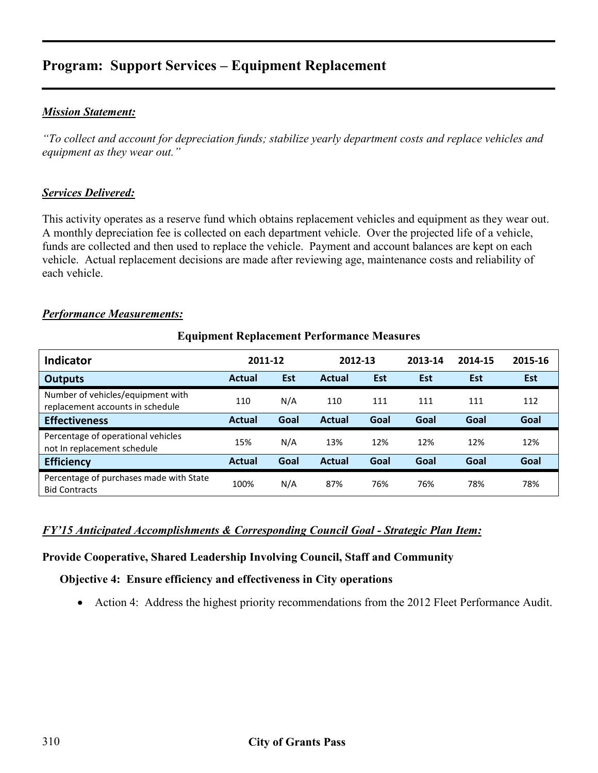### *Mission Statement:*

*"To collect and account for depreciation funds; stabilize yearly department costs and replace vehicles and equipment as they wear out."* 

#### *Services Delivered:*

This activity operates as a reserve fund which obtains replacement vehicles and equipment as they wear out. A monthly depreciation fee is collected on each department vehicle. Over the projected life of a vehicle, funds are collected and then used to replace the vehicle. Payment and account balances are kept on each vehicle. Actual replacement decisions are made after reviewing age, maintenance costs and reliability of each vehicle.

#### *Performance Measurements:*

| <b>Indicator</b>                                                      | 2011-12       |            | 2012-13       |            | 2013-14    | 2014-15    | 2015-16 |
|-----------------------------------------------------------------------|---------------|------------|---------------|------------|------------|------------|---------|
| <b>Outputs</b>                                                        | <b>Actual</b> | <b>Est</b> | <b>Actual</b> | <b>Est</b> | <b>Est</b> | <b>Est</b> | Est     |
| Number of vehicles/equipment with<br>replacement accounts in schedule | 110           | N/A        | 110           | 111        | 111        | 111        | 112     |
| <b>Effectiveness</b>                                                  | <b>Actual</b> | Goal       | <b>Actual</b> | Goal       | Goal       | Goal       | Goal    |
| Percentage of operational vehicles<br>not In replacement schedule     | 15%           | N/A        | 13%           | 12%        | 12%        | 12%        | 12%     |
| <b>Efficiency</b>                                                     | <b>Actual</b> | Goal       | <b>Actual</b> | Goal       | Goal       | Goal       | Goal    |
| Percentage of purchases made with State<br><b>Bid Contracts</b>       | 100%          | N/A        | 87%           | 76%        | 76%        | 78%        | 78%     |

#### **Equipment Replacement Performance Measures**

#### *FY'15 Anticipated Accomplishments & Corresponding Council Goal - Strategic Plan Item:*

#### **Provide Cooperative, Shared Leadership Involving Council, Staff and Community**

#### **Objective 4: Ensure efficiency and effectiveness in City operations**

• Action 4: Address the highest priority recommendations from the 2012 Fleet Performance Audit.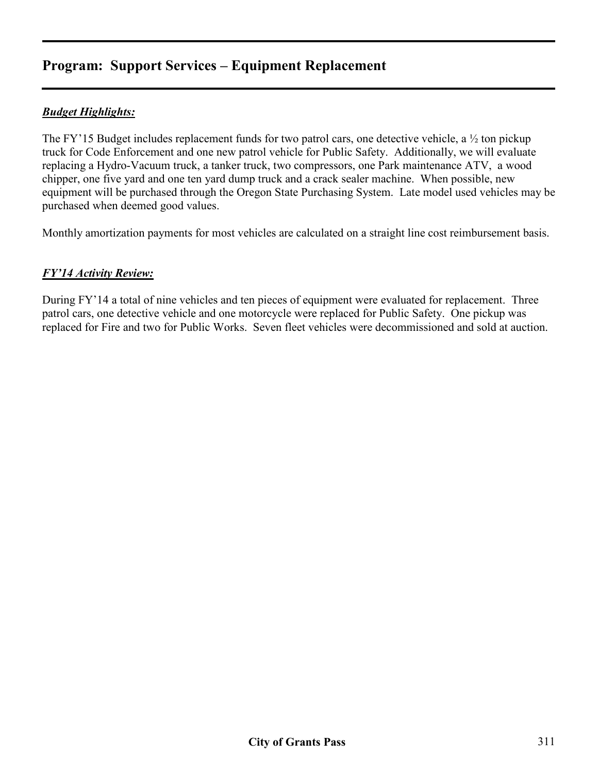## *Budget Highlights:*

The FY'15 Budget includes replacement funds for two patrol cars, one detective vehicle, a ½ ton pickup truck for Code Enforcement and one new patrol vehicle for Public Safety. Additionally, we will evaluate replacing a Hydro-Vacuum truck, a tanker truck, two compressors, one Park maintenance ATV, a wood chipper, one five yard and one ten yard dump truck and a crack sealer machine. When possible, new equipment will be purchased through the Oregon State Purchasing System. Late model used vehicles may be purchased when deemed good values.

Monthly amortization payments for most vehicles are calculated on a straight line cost reimbursement basis.

## *FY'14 Activity Review:*

During FY'14 a total of nine vehicles and ten pieces of equipment were evaluated for replacement. Three patrol cars, one detective vehicle and one motorcycle were replaced for Public Safety. One pickup was replaced for Fire and two for Public Works. Seven fleet vehicles were decommissioned and sold at auction.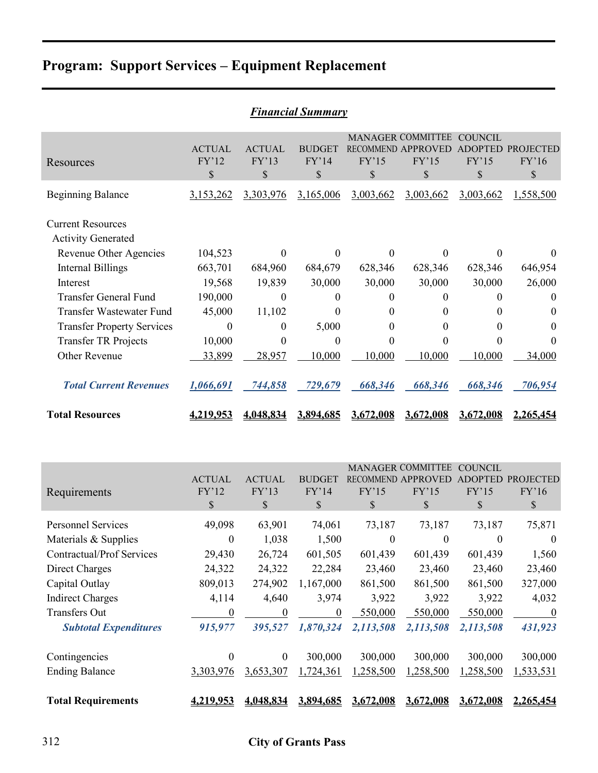| <b>Financial Summary</b>                              |                               |                               |                              |                       |                                                                                  |                      |                           |  |  |  |  |
|-------------------------------------------------------|-------------------------------|-------------------------------|------------------------------|-----------------------|----------------------------------------------------------------------------------|----------------------|---------------------------|--|--|--|--|
| Resources                                             | <b>ACTUAL</b><br>FY'12<br>\$  | <b>ACTUAL</b><br>FY'13<br>\$  | <b>BUDGET</b><br>FY'14<br>\$ | FY'15<br>$\mathbb{S}$ | MANAGER COMMITTEE COUNCIL<br>RECOMMEND APPROVED ADOPTED PROJECTED<br>FY'15<br>\$ | FY'15<br>\$          | FY'16<br>\$               |  |  |  |  |
| <b>Beginning Balance</b>                              | 3,153,262                     | 3,303,976                     | 3,165,006                    | 3,003,662             | 3,003,662                                                                        | 3,003,662            | 1,558,500                 |  |  |  |  |
| <b>Current Resources</b><br><b>Activity Generated</b> |                               |                               |                              |                       |                                                                                  |                      |                           |  |  |  |  |
| Revenue Other Agencies                                | 104,523                       | $\theta$                      | $\theta$                     | $\theta$              | $\theta$                                                                         | 0                    | $\theta$                  |  |  |  |  |
| <b>Internal Billings</b>                              | 663,701                       | 684,960                       | 684,679                      | 628,346               | 628,346                                                                          | 628,346              | 646,954                   |  |  |  |  |
| Interest                                              | 19,568                        | 19,839                        | 30,000                       | 30,000                | 30,000                                                                           | 30,000               | 26,000                    |  |  |  |  |
| <b>Transfer General Fund</b>                          | 190,000                       | $\mathbf{0}$                  | $\mathbf{0}$                 | $\boldsymbol{0}$      | 0                                                                                | 0                    | $\theta$                  |  |  |  |  |
| Transfer Wastewater Fund                              | 45,000                        | 11,102                        | $\theta$                     | $\theta$              | $\theta$                                                                         | 0                    | $\overline{0}$            |  |  |  |  |
| <b>Transfer Property Services</b>                     | $\boldsymbol{0}$              | $\boldsymbol{0}$              | 5,000                        | 0                     | $\boldsymbol{0}$                                                                 | 0                    | $\theta$                  |  |  |  |  |
| <b>Transfer TR Projects</b>                           | 10,000                        | $\theta$                      | $\boldsymbol{0}$             | $\theta$              | $\theta$                                                                         | 0                    | $\theta$                  |  |  |  |  |
| Other Revenue                                         | 33,899                        | 28,957                        | 10,000                       | 10,000                | 10,000                                                                           | 10,000               | 34,000                    |  |  |  |  |
| <b>Total Current Revenues</b>                         | 1,066,691                     | 744,858                       | 729,679                      | 668,346               | 668,346                                                                          | 668,346              | 706,954                   |  |  |  |  |
| <b>Total Resources</b>                                | 4,219,953                     | 4,048,834                     | 3,894,685                    | 3,672,008             | 3,672,008                                                                        | 3,672,008            | 2,265,454                 |  |  |  |  |
|                                                       |                               |                               |                              |                       |                                                                                  |                      |                           |  |  |  |  |
|                                                       |                               |                               |                              |                       | MANAGER COMMITTEE COUNCIL                                                        |                      |                           |  |  |  |  |
|                                                       | <b>ACTUAL</b>                 | <b>ACTUAL</b>                 | <b>BUDGET</b>                |                       | RECOMMEND APPROVED                                                               |                      | ADOPTED PROJECTED         |  |  |  |  |
| Requirements                                          | FY'12                         | FY'13                         | FY'14                        | FY'15                 | FY'15                                                                            | FY'15                | FY'16                     |  |  |  |  |
|                                                       | \$                            | \$                            | \$                           | \$                    | \$                                                                               | $\$$                 | \$                        |  |  |  |  |
| <b>Personnel Services</b>                             | 49,098                        | 63,901                        | 74,061                       | 73,187                | 73,187                                                                           | 73,187               | 75,871                    |  |  |  |  |
| Materials & Supplies                                  | $\theta$                      | 1,038                         | 1,500                        | $\theta$              | $\theta$                                                                         | $\theta$             | $\theta$                  |  |  |  |  |
| Contractual/Prof Services                             | 29,430                        | 26,724                        | 601,505                      | 601,439               | 601,439                                                                          | 601,439              | 1,560                     |  |  |  |  |
| <b>Direct Charges</b>                                 | 24,322                        | 24,322                        | 22,284                       | 23,460                | 23,460                                                                           | 23,460               | 23,460                    |  |  |  |  |
| Capital Outlay                                        | 809,013                       | 274,902                       | 1,167,000                    | 861,500               | 861,500                                                                          | 861,500              | 327,000                   |  |  |  |  |
| <b>Indirect Charges</b>                               | 4,114                         | 4,640                         | 3,974                        | 3,922                 | 3,922                                                                            | 3,922                | 4,032                     |  |  |  |  |
| Transfers Out<br><b>Subtotal Expenditures</b>         | $\boldsymbol{0}$<br>915,977   | $\boldsymbol{0}$<br>395,527   | $\overline{0}$<br>1,870,324  | 550,000<br>2,113,508  | 550,000<br>2,113,508                                                             | 550,000<br>2,113,508 | $\overline{0}$<br>431,923 |  |  |  |  |
|                                                       |                               |                               |                              |                       |                                                                                  |                      |                           |  |  |  |  |
| Contingencies<br><b>Ending Balance</b>                | $\boldsymbol{0}$<br>3,303,976 | $\boldsymbol{0}$<br>3,653,307 | 300,000<br>1,724,361         | 300,000<br>1,258,500  | 300,000<br>1,258,500                                                             | 300,000<br>1,258,500 | 300,000<br>1,533,531      |  |  |  |  |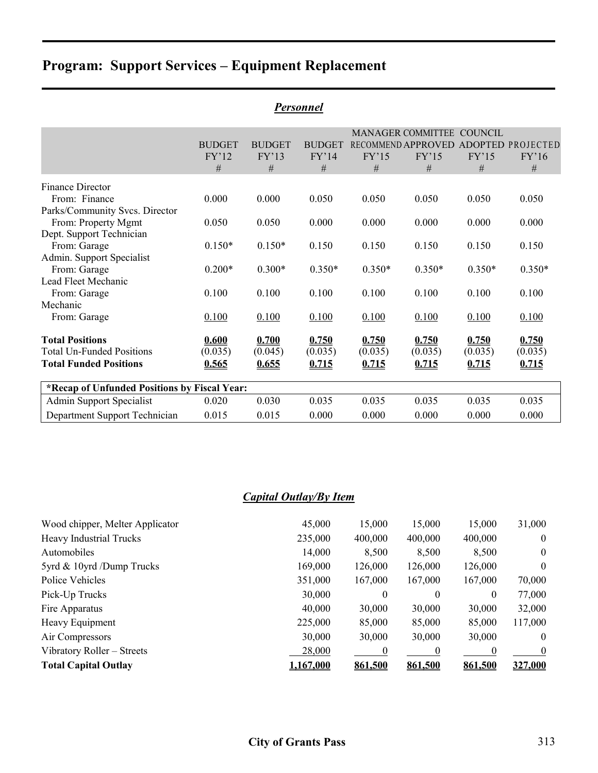| P <u>ersonnel</u> |                |                                                                |                |                |                                            |                                      |  |  |  |  |
|-------------------|----------------|----------------------------------------------------------------|----------------|----------------|--------------------------------------------|--------------------------------------|--|--|--|--|
|                   |                |                                                                |                |                | COUNCIL                                    |                                      |  |  |  |  |
| <b>BUDGET</b>     | <b>BUDGET</b>  | <b>BUDGET</b>                                                  |                |                |                                            | ADOPTED PROJECTED                    |  |  |  |  |
| FY'12             | FY'13          | FY'14                                                          | FY'15          | FY'15          | FY'15                                      | FY'16                                |  |  |  |  |
| #                 | #              | #                                                              | #              | #              | #                                          | #                                    |  |  |  |  |
|                   |                |                                                                |                |                |                                            |                                      |  |  |  |  |
| 0.000             | 0.000          | 0.050                                                          | 0.050          | 0.050          | 0.050                                      | 0.050                                |  |  |  |  |
|                   |                |                                                                |                |                |                                            |                                      |  |  |  |  |
| 0.050             | 0.050          | 0.000                                                          | 0.000          | 0.000          | 0.000                                      | 0.000                                |  |  |  |  |
|                   |                |                                                                |                |                |                                            |                                      |  |  |  |  |
| $0.150*$          | $0.150*$       | 0.150                                                          | 0.150          | 0.150          | 0.150                                      | 0.150                                |  |  |  |  |
|                   |                |                                                                |                |                |                                            |                                      |  |  |  |  |
| $0.200*$          | $0.300*$       | $0.350*$                                                       | $0.350*$       | $0.350*$       | $0.350*$                                   | $0.350*$                             |  |  |  |  |
|                   |                |                                                                |                |                |                                            |                                      |  |  |  |  |
|                   |                |                                                                |                |                |                                            | 0.100                                |  |  |  |  |
|                   |                |                                                                |                |                |                                            |                                      |  |  |  |  |
|                   |                |                                                                |                |                |                                            | 0.100                                |  |  |  |  |
| 0.600             | 0.700          | 0.750                                                          | 0.750          | 0.750          | 0.750                                      | 0.750                                |  |  |  |  |
| (0.035)           | (0.045)        | (0.035)                                                        | (0.035)        | (0.035)        | (0.035)                                    | (0.035)                              |  |  |  |  |
| 0.565             | 0.655          | 0.715                                                          | 0.715          | 0.715          | 0.715                                      | 0.715                                |  |  |  |  |
|                   |                |                                                                |                |                |                                            |                                      |  |  |  |  |
| 0.020             | 0.030          | 0.035                                                          | 0.035          | 0.035          | 0.035                                      | 0.035                                |  |  |  |  |
| 0.015             | 0.015          | 0.000                                                          | 0.000          | 0.000          | 0.000                                      | 0.000                                |  |  |  |  |
|                   | 0.100<br>0.100 | 0.100<br>0.100<br>*Recap of Unfunded Positions by Fiscal Year: | 0.100<br>0.100 | 0.100<br>0.100 | <b>MANAGER COMMITTEE</b><br>0.100<br>0.100 | RECOMMEND APPROVED<br>0.100<br>0.100 |  |  |  |  |

## *Capital Outlay/By Item*

| Wood chipper, Melter Applicator | 45,000    | 15,000   | 15,000   | 15,000  | 31,000           |
|---------------------------------|-----------|----------|----------|---------|------------------|
| <b>Heavy Industrial Trucks</b>  | 235,000   | 400,000  | 400,000  | 400,000 | $\theta$         |
| Automobiles                     | 14,000    | 8,500    | 8,500    | 8,500   | $\overline{0}$   |
| 5 yrd $\&$ 10 yrd / Dump Trucks | 169,000   | 126,000  | 126,000  | 126,000 | $\theta$         |
| Police Vehicles                 | 351,000   | 167,000  | 167,000  | 167,000 | 70,000           |
| Pick-Up Trucks                  | 30,000    | $\theta$ | $\theta$ | 0       | 77,000           |
| Fire Apparatus                  | 40,000    | 30,000   | 30,000   | 30,000  | 32,000           |
| Heavy Equipment                 | 225,000   | 85,000   | 85,000   | 85,000  | 117,000          |
| Air Compressors                 | 30,000    | 30,000   | 30,000   | 30,000  | $\theta$         |
| Vibratory Roller – Streets      | 28,000    |          | $\theta$ |         | $\boldsymbol{0}$ |
| <b>Total Capital Outlay</b>     | 1,167,000 | 861,500  | 861,500  | 861,500 | 327,000          |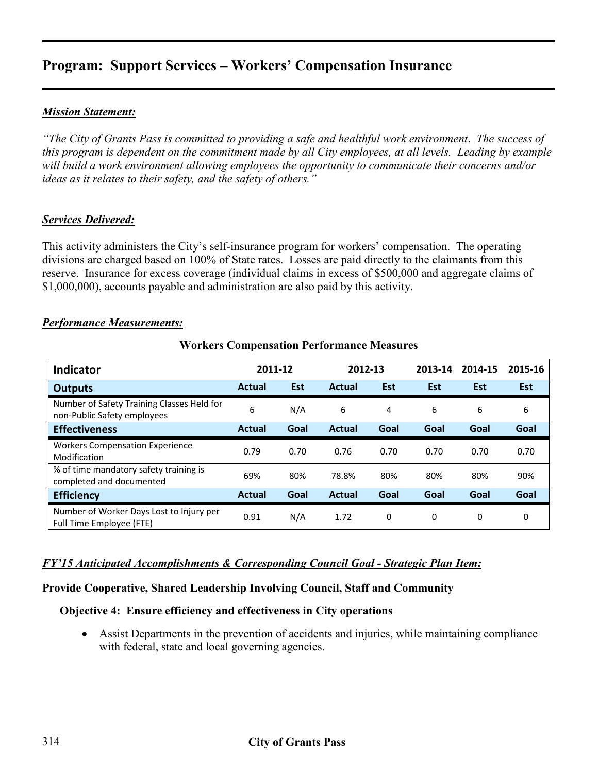### *Mission Statement:*

*"The City of Grants Pass is committed to providing a safe and healthful work environment*. *The success of this program is dependent on the commitment made by all City employees, at all levels. Leading by example will build a work environment allowing employees the opportunity to communicate their concerns and/or ideas as it relates to their safety, and the safety of others."* 

#### *Services Delivered:*

This activity administers the City's self-insurance program for workers' compensation. The operating divisions are charged based on 100% of State rates. Losses are paid directly to the claimants from this reserve. Insurance for excess coverage (individual claims in excess of \$500,000 and aggregate claims of \$1,000,000), accounts payable and administration are also paid by this activity.

#### *Performance Measurements:*

| <b>Indicator</b>                                                          | 2011-12       |            | 2012-13       |            | 2013-14    | 2014-15    | 2015-16    |
|---------------------------------------------------------------------------|---------------|------------|---------------|------------|------------|------------|------------|
| <b>Outputs</b>                                                            | <b>Actual</b> | <b>Est</b> | Actual        | <b>Est</b> | <b>Est</b> | <b>Est</b> | <b>Est</b> |
| Number of Safety Training Classes Held for<br>non-Public Safety employees | 6             | N/A        | 6             | 4          | 6          | 6          | 6          |
| <b>Effectiveness</b>                                                      | <b>Actual</b> | Goal       | Actual        | Goal       | Goal       | Goal       | Goal       |
| <b>Workers Compensation Experience</b><br>Modification                    | 0.79          | 0.70       | 0.76          | 0.70       | 0.70       | 0.70       | 0.70       |
| % of time mandatory safety training is<br>completed and documented        | 69%           | 80%        | 78.8%         | 80%        | 80%        | 80%        | 90%        |
| <b>Efficiency</b>                                                         | <b>Actual</b> | Goal       | <b>Actual</b> | Goal       | Goal       | Goal       | Goal       |
| Number of Worker Days Lost to Injury per<br>Full Time Employee (FTE)      | 0.91          | N/A        | 1.72          | 0          | 0          | 0          | 0          |

#### **Workers Compensation Performance Measures**

#### *FY'15 Anticipated Accomplishments & Corresponding Council Goal - Strategic Plan Item:*

#### **Provide Cooperative, Shared Leadership Involving Council, Staff and Community**

#### **Objective 4: Ensure efficiency and effectiveness in City operations**

• Assist Departments in the prevention of accidents and injuries, while maintaining compliance with federal, state and local governing agencies.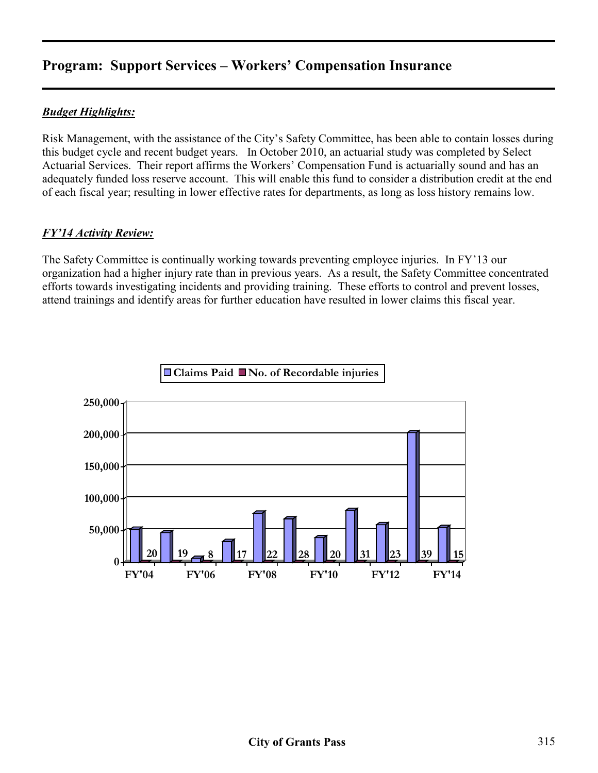## *Budget Highlights:*

Risk Management, with the assistance of the City's Safety Committee, has been able to contain losses during this budget cycle and recent budget years. In October 2010, an actuarial study was completed by Select Actuarial Services. Their report affirms the Workers' Compensation Fund is actuarially sound and has an adequately funded loss reserve account. This will enable this fund to consider a distribution credit at the end of each fiscal year; resulting in lower effective rates for departments, as long as loss history remains low.

#### *FY'14 Activity Review:*

The Safety Committee is continually working towards preventing employee injuries. In FY'13 our organization had a higher injury rate than in previous years. As a result, the Safety Committee concentrated efforts towards investigating incidents and providing training. These efforts to control and prevent losses, attend trainings and identify areas for further education have resulted in lower claims this fiscal year.

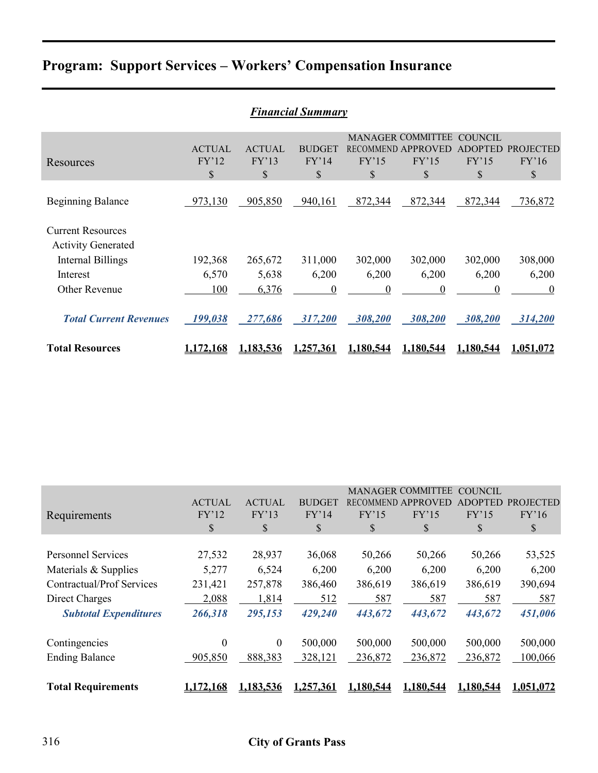|                                                                                                                | <b>Financial Summary</b>     |                              |                              |                              |                                                               |                                         |                                    |  |  |  |
|----------------------------------------------------------------------------------------------------------------|------------------------------|------------------------------|------------------------------|------------------------------|---------------------------------------------------------------|-----------------------------------------|------------------------------------|--|--|--|
| Resources                                                                                                      | <b>ACTUAL</b><br>FY'12<br>\$ | <b>ACTUAL</b><br>FY'13<br>\$ | <b>BUDGET</b><br>FY'14<br>\$ | FY'15<br>\$                  | <b>MANAGER COMMITTEE</b><br>RECOMMEND APPROVED<br>FY'15<br>\$ | COUNCIL<br><b>ADOPTED</b><br>FY'15<br>S | <b>PROJECTED</b><br>FY'16<br>\$    |  |  |  |
| <b>Beginning Balance</b>                                                                                       | 973,130                      | 905,850                      | 940,161                      | 872,344                      | 872,344                                                       | 872,344                                 | 736,872                            |  |  |  |
| <b>Current Resources</b><br><b>Activity Generated</b><br><b>Internal Billings</b><br>Interest<br>Other Revenue | 192,368<br>6,570<br>100      | 265,672<br>5,638<br>6,376    | 311,000<br>6,200<br>$\theta$ | 302,000<br>6,200<br>$\theta$ | 302,000<br>6,200<br>$\boldsymbol{0}$                          | 302,000<br>6,200<br>$\theta$            | 308,000<br>6,200<br>$\overline{0}$ |  |  |  |
| <b>Total Current Revenues</b>                                                                                  | 199,038                      | 277,686                      | 317,200                      | 308,200                      | 308,200                                                       | 308,200                                 | 314,200                            |  |  |  |
| <b>Total Resources</b>                                                                                         | <u>1,172,168</u>             | 1,183,536                    | 1,257,361                    | 1.180.544                    | 1,180,544                                                     | 1.180.544                               | 1.051.072                          |  |  |  |

| Requirements                     | <b>ACTUAL</b><br>FY'12<br>\$ | <b>ACTUAL</b><br>FY'13<br>\$ | <b>BUDGET</b><br>FY'14<br>\$ | <b>RECOMMEND</b><br>FY'15<br>\$ | <b>MANAGER COMMITTEE</b><br><b>APPROVED</b><br>FY'15<br>\$ | COUNCIL<br>ADOPTED<br>FY'15<br>\$ | <b>PROJECTED</b><br>FY'16<br>$\mathbb{S}$ |
|----------------------------------|------------------------------|------------------------------|------------------------------|---------------------------------|------------------------------------------------------------|-----------------------------------|-------------------------------------------|
| <b>Personnel Services</b>        | 27,532                       | 28,937                       | 36,068                       | 50,266                          | 50,266                                                     | 50,266                            | 53,525                                    |
| Materials & Supplies             | 5,277                        | 6,524                        | 6,200                        | 6,200                           | 6,200                                                      | 6,200                             | 6,200                                     |
| <b>Contractual/Prof Services</b> | 231,421                      | 257,878                      | 386,460                      | 386,619                         | 386,619                                                    | 386,619                           | 390,694                                   |
| Direct Charges                   | 2,088                        | 1,814                        | 512                          | 587                             | 587                                                        | 587                               | 587                                       |
| <b>Subtotal Expenditures</b>     | 266,318                      | 295,153                      | 429,240                      | 443,672                         | 443,672                                                    | 443,672                           | 451,006                                   |
| Contingencies                    | $\boldsymbol{0}$             | $\theta$                     | 500,000                      | 500,000                         | 500,000                                                    | 500,000                           | 500,000                                   |
| <b>Ending Balance</b>            | 905,850                      | 888,383                      | 328,121                      | 236,872                         | 236,872                                                    | 236,872                           | 100,066                                   |
| <b>Total Requirements</b>        | ,172,168                     | 1,183,536                    | 1,257,361                    | 1,180,544                       | 1,180,544                                                  | 1,180,544                         | 1,051,072                                 |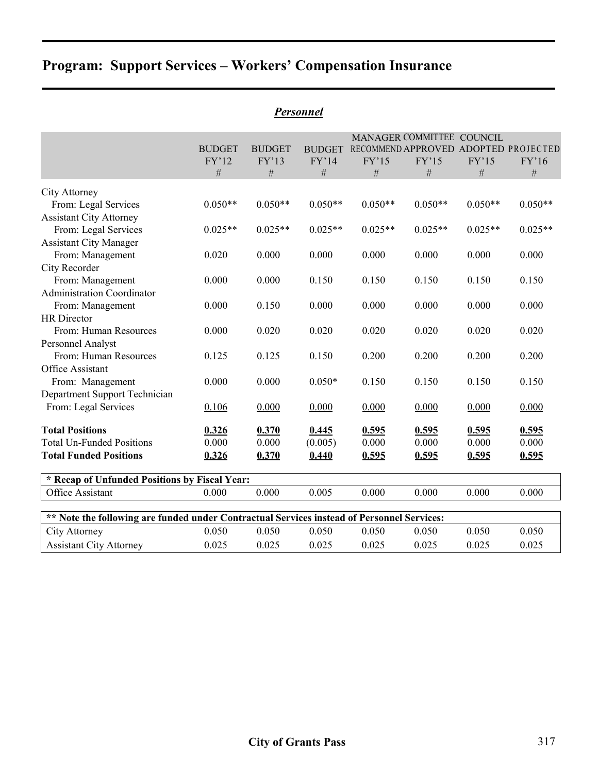|                                                                                            |               |               |               | MANAGER COMMITTEE COUNCIL            |               |           |               |
|--------------------------------------------------------------------------------------------|---------------|---------------|---------------|--------------------------------------|---------------|-----------|---------------|
|                                                                                            | <b>BUDGET</b> | <b>BUDGET</b> | <b>BUDGET</b> | RECOMMEND APPROVED ADOPTED PROJECTED |               |           |               |
|                                                                                            | FY'12<br>$\#$ | FY'13<br>$\#$ | FY'14<br>$\#$ | FY'15                                | FY'15<br>$\#$ | FY'15     | FY'16<br>$\#$ |
|                                                                                            |               |               |               | #                                    |               | $\#$      |               |
| City Attorney                                                                              |               |               |               |                                      |               |           |               |
| From: Legal Services                                                                       | $0.050**$     | $0.050**$     | $0.050**$     | $0.050**$                            | $0.050**$     | $0.050**$ | $0.050**$     |
| <b>Assistant City Attorney</b>                                                             |               |               |               |                                      |               |           |               |
| From: Legal Services                                                                       | $0.025**$     | $0.025**$     | $0.025**$     | $0.025**$                            | $0.025**$     | $0.025**$ | $0.025**$     |
| <b>Assistant City Manager</b>                                                              |               |               |               |                                      |               |           |               |
| From: Management                                                                           | 0.020         | 0.000         | 0.000         | 0.000                                | 0.000         | 0.000     | 0.000         |
| City Recorder                                                                              |               |               |               |                                      |               |           |               |
| From: Management                                                                           | 0.000         | 0.000         | 0.150         | 0.150                                | 0.150         | 0.150     | 0.150         |
| <b>Administration Coordinator</b>                                                          |               |               |               |                                      |               |           |               |
| From: Management                                                                           | 0.000         | 0.150         | 0.000         | 0.000                                | 0.000         | 0.000     | 0.000         |
| <b>HR</b> Director                                                                         |               |               |               |                                      |               |           |               |
| From: Human Resources                                                                      | 0.000         | 0.020         | 0.020         | 0.020                                | 0.020         | 0.020     | 0.020         |
| Personnel Analyst                                                                          |               |               |               |                                      |               |           |               |
| From: Human Resources                                                                      | 0.125         | 0.125         | 0.150         | 0.200                                | 0.200         | 0.200     | 0.200         |
| Office Assistant                                                                           |               |               |               |                                      |               |           |               |
| From: Management                                                                           | 0.000         | 0.000         | $0.050*$      | 0.150                                | 0.150         | 0.150     | 0.150         |
| Department Support Technician                                                              |               |               |               |                                      |               |           |               |
| From: Legal Services                                                                       | 0.106         | 0.000         | 0.000         | 0.000                                | 0.000         | 0.000     | 0.000         |
| <b>Total Positions</b>                                                                     | 0.326         | 0.370         | 0.445         | 0.595                                | 0.595         | 0.595     | 0.595         |
| <b>Total Un-Funded Positions</b>                                                           | 0.000         | 0.000         | (0.005)       | 0.000                                | 0.000         | 0.000     | 0.000         |
| <b>Total Funded Positions</b>                                                              | 0.326         | 0.370         | 0.440         | 0.595                                | 0.595         | 0.595     | 0.595         |
| * Recap of Unfunded Positions by Fiscal Year:                                              |               |               |               |                                      |               |           |               |
| Office Assistant                                                                           | 0.000         | 0.000         | 0.005         | 0.000                                | 0.000         | 0.000     | 0.000         |
| ** Note the following are funded under Contractual Services instead of Personnel Services: |               |               |               |                                      |               |           |               |
| City Attorney                                                                              | 0.050         | 0.050         | 0.050         | 0.050                                | 0.050         | 0.050     | 0.050         |
| <b>Assistant City Attorney</b>                                                             | 0.025         | 0.025         | 0.025         | 0.025                                | 0.025         | 0.025     | 0.025         |
|                                                                                            |               |               |               |                                      |               |           |               |

# *Personnel*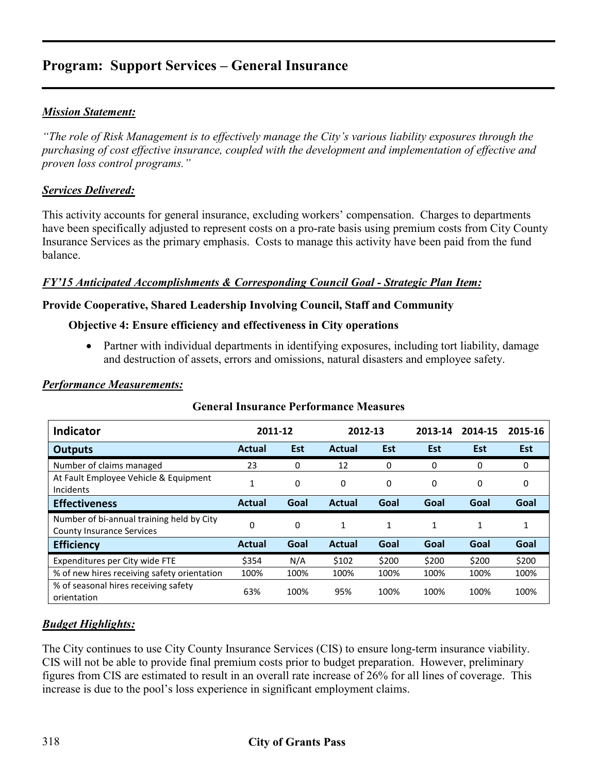### *Mission Statement:*

*"The role of Risk Management is to effectively manage the City's various liability exposures through the purchasing of cost effective insurance, coupled with the development and implementation of effective and proven loss control programs."* 

#### *Services Delivered:*

This activity accounts for general insurance, excluding workers' compensation. Charges to departments have been specifically adjusted to represent costs on a pro-rate basis using premium costs from City County Insurance Services as the primary emphasis. Costs to manage this activity have been paid from the fund balance.

#### *FY'15 Anticipated Accomplishments & Corresponding Council Goal - Strategic Plan Item:*

#### **Provide Cooperative, Shared Leadership Involving Council, Staff and Community**

#### **Objective 4: Ensure efficiency and effectiveness in City operations**

• Partner with individual departments in identifying exposures, including tort liability, damage and destruction of assets, errors and omissions, natural disasters and employee safety.

| <b>Indicator</b>                                                              | 2011-12       |            | 2012-13       |       | 2013-14 | 2014-15    | 2015-16    |
|-------------------------------------------------------------------------------|---------------|------------|---------------|-------|---------|------------|------------|
| <b>Outputs</b>                                                                | <b>Actual</b> | <b>Est</b> | <b>Actual</b> | Est   | Est     | <b>Est</b> | <b>Est</b> |
| Number of claims managed                                                      | 23            | 0          | 12            | 0     | 0       | 0          | 0          |
| At Fault Employee Vehicle & Equipment<br>Incidents                            | 1             | 0          | 0             | 0     | 0       | 0          | 0          |
| <b>Effectiveness</b>                                                          | <b>Actual</b> | Goal       | <b>Actual</b> | Goal  | Goal    | Goal       | Goal       |
| Number of bi-annual training held by City<br><b>County Insurance Services</b> | 0             | $\Omega$   | 1             | 1     | 1       | 1          | 1          |
| <b>Efficiency</b>                                                             | <b>Actual</b> | Goal       | <b>Actual</b> | Goal  | Goal    | Goal       | Goal       |
| Expenditures per City wide FTE                                                | \$354         | N/A        | \$102         | \$200 | \$200   | \$200      | \$200      |
| % of new hires receiving safety orientation                                   | 100%          | 100%       | 100%          | 100%  | 100%    | 100%       | 100%       |
| % of seasonal hires receiving safety<br>orientation                           | 63%           | 100%       | 95%           | 100%  | 100%    | 100%       | 100%       |

#### **General Insurance Performance Measures**

#### *Budget Highlights:*

The City continues to use City County Insurance Services (CIS) to ensure long-term insurance viability. CIS will not be able to provide final premium costs prior to budget preparation. However, preliminary figures from CIS are estimated to result in an overall rate increase of 26% for all lines of coverage. This increase is due to the pool's loss experience in significant employment claims.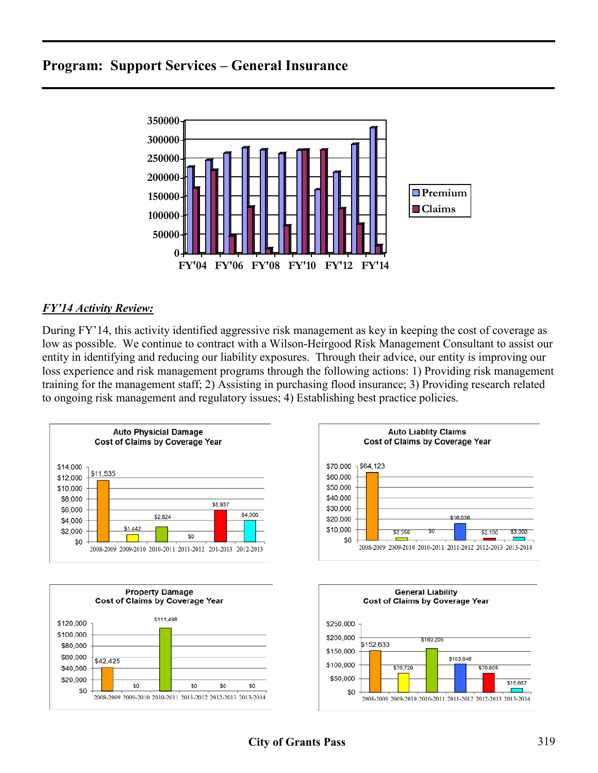

### *FY'14 Activity Review:*

During FY'14, this activity identified aggressive risk management as key in keeping the cost of coverage as low as possible. We continue to contract with a Wilson-Heirgood Risk Management Consultant to assist our entity in identifying and reducing our liability exposures. Through their advice, our entity is improving our loss experience and risk management programs through the following actions: 1) Providing risk management training for the management staff; 2) Assisting in purchasing flood insurance; 3) Providing research related to ongoing risk management and regulatory issues; 4) Establishing best practice policies.

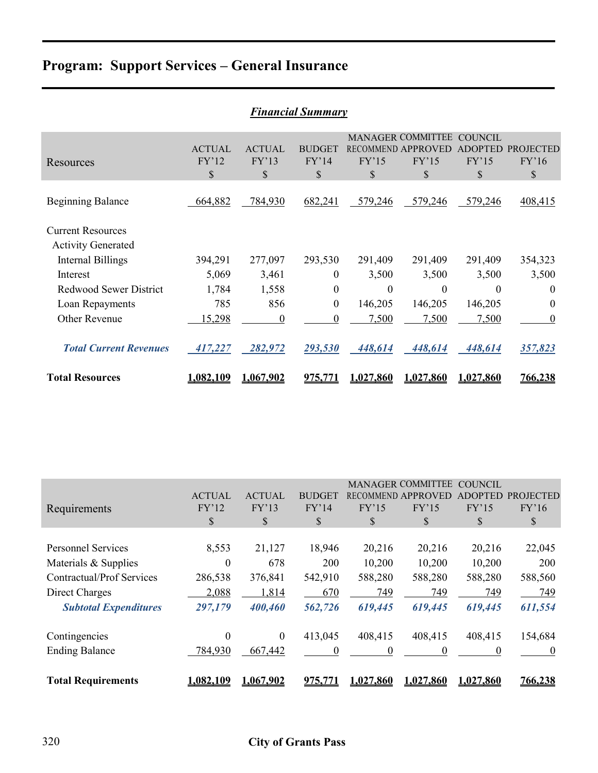|                                                       | <b>Financial Summary</b>     |                              |                                         |                                   |                                         |                                          |                                 |  |  |
|-------------------------------------------------------|------------------------------|------------------------------|-----------------------------------------|-----------------------------------|-----------------------------------------|------------------------------------------|---------------------------------|--|--|
| Resources                                             | <b>ACTUAL</b><br>FY'12<br>\$ | <b>ACTUAL</b><br>FY'13<br>\$ | <b>BUDGET</b><br>FY'14<br>$\mathcal{S}$ | RECOMMEND APPROVED<br>FY'15<br>\$ | <b>MANAGER COMMITTEE</b><br>FY'15<br>\$ | <b>COUNCIL</b><br>ADOPTED<br>FY'15<br>\$ | <b>PROJECTED</b><br>FY'16<br>\$ |  |  |
| <b>Beginning Balance</b>                              | 664,882                      | 784,930                      | 682,241                                 | 579,246                           | 579,246                                 | 579,246                                  | 408,415                         |  |  |
| <b>Current Resources</b><br><b>Activity Generated</b> |                              |                              |                                         |                                   |                                         |                                          |                                 |  |  |
| Internal Billings                                     | 394,291                      | 277,097                      | 293,530                                 | 291,409                           | 291,409                                 | 291,409                                  | 354,323                         |  |  |
| Interest                                              | 5,069                        | 3,461                        | $\boldsymbol{0}$                        | 3,500                             | 3,500                                   | 3,500                                    | 3,500                           |  |  |
| <b>Redwood Sewer District</b>                         | 1,784                        | 1,558                        | $\boldsymbol{0}$                        | $\theta$                          | $\theta$                                | $\Omega$                                 | $\theta$                        |  |  |
| Loan Repayments                                       | 785                          | 856                          | $\boldsymbol{0}$                        | 146,205                           | 146,205                                 | 146,205                                  | $\theta$                        |  |  |
| Other Revenue                                         | 15,298                       | $\boldsymbol{0}$             | $\overline{0}$                          | 7,500                             | 7,500                                   | 7,500                                    | $\boldsymbol{0}$                |  |  |
| <b>Total Current Revenues</b>                         | 417,227                      | 282,972                      | 293,530                                 | 448,614                           | 448,614                                 | 448,614                                  | 357,823                         |  |  |
| <b>Total Resources</b>                                | <u>1.082.109</u>             | 1.067.902                    |                                         | 1.027.860                         | 1.027.860                               | 1.027.860                                | <u>766,238</u>                  |  |  |

| <b>Financial Summary</b> |  |
|--------------------------|--|
|                          |  |

|                                  | <b>MANAGER COMMITTEE</b><br><b>COUNCIL</b> |                  |                |           |                    |                |                  |
|----------------------------------|--------------------------------------------|------------------|----------------|-----------|--------------------|----------------|------------------|
|                                  | <b>ACTUAL</b>                              | <b>ACTUAL</b>    | <b>BUDGET</b>  |           | RECOMMEND APPROVED | <b>ADOPTED</b> | <b>PROJECTED</b> |
| Requirements                     | FY'12                                      | FY'13            | FY'14          | FY'15     | FY'15              | FY'15          | FY'16            |
|                                  | \$                                         | \$               | \$             | \$        | S                  | S              | S                |
|                                  |                                            |                  |                |           |                    |                |                  |
| <b>Personnel Services</b>        | 8,553                                      | 21,127           | 18,946         | 20,216    | 20,216             | 20,216         | 22,045           |
| Materials & Supplies             | $\boldsymbol{0}$                           | 678              | 200            | 10,200    | 10,200             | 10,200         | 200              |
| <b>Contractual/Prof Services</b> | 286,538                                    | 376,841          | 542,910        | 588,280   | 588,280            | 588,280        | 588,560          |
| Direct Charges                   | 2,088                                      | 1,814            | 670            | 749       | 749                | 749            | 749              |
| <b>Subtotal Expenditures</b>     | 297,179                                    | 400,460          | 562,726        | 619,445   | 619,445            | 619,445        | 611,554          |
| Contingencies                    | $\boldsymbol{0}$                           | $\boldsymbol{0}$ | 413,045        | 408,415   | 408,415            | 408,415        | 154,684          |
| <b>Ending Balance</b>            | 784,930                                    | 667,442          | $\theta$       | 0         | $\theta$           | 0              | $\theta$         |
|                                  |                                            |                  |                |           |                    |                |                  |
| <b>Total Requirements</b>        | 1,082,109                                  | 1,067,902        | <u>975,771</u> | 1,027,860 | 1,027,860          | 1,027,860      | 766,238          |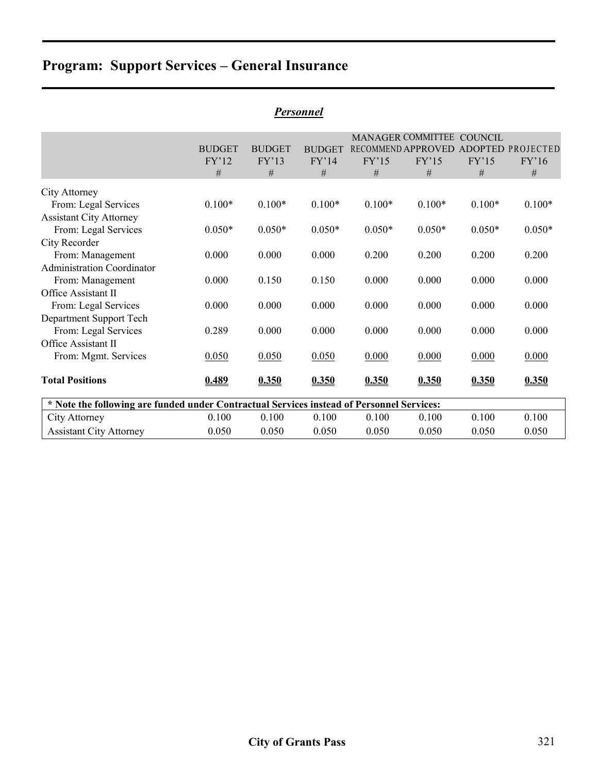|                                                                                           |               |               |               |          | <b>MANAGER COMMITTEE</b> | <b>COUNCIL</b> |                                      |
|-------------------------------------------------------------------------------------------|---------------|---------------|---------------|----------|--------------------------|----------------|--------------------------------------|
|                                                                                           | <b>BUDGET</b> | <b>BUDGET</b> | <b>BUDGET</b> |          |                          |                | RECOMMEND APPROVED ADOPTED PROJECTED |
|                                                                                           | FY'12         | FY'13         | FY'14         | FY'15    | FY'15                    | FY'15          | FY'16                                |
|                                                                                           | #             | #             | #             | #        | #                        | $\#$           | #                                    |
| City Attorney                                                                             |               |               |               |          |                          |                |                                      |
| From: Legal Services                                                                      | $0.100*$      | $0.100*$      | $0.100*$      | $0.100*$ | $0.100*$                 | $0.100*$       | $0.100*$                             |
| <b>Assistant City Attorney</b>                                                            |               |               |               |          |                          |                |                                      |
| From: Legal Services                                                                      | $0.050*$      | $0.050*$      | $0.050*$      | $0.050*$ | $0.050*$                 | $0.050*$       | $0.050*$                             |
| City Recorder                                                                             |               |               |               |          |                          |                |                                      |
| From: Management                                                                          | 0.000         | 0.000         | 0.000         | 0.200    | 0.200                    | 0.200          | 0.200                                |
| <b>Administration Coordinator</b>                                                         |               |               |               |          |                          |                |                                      |
| From: Management                                                                          | 0.000         | 0.150         | 0.150         | 0.000    | 0.000                    | 0.000          | 0.000                                |
| Office Assistant II                                                                       |               |               |               |          |                          |                |                                      |
| From: Legal Services                                                                      | 0.000         | 0.000         | 0.000         | 0.000    | 0.000                    | 0.000          | 0.000                                |
| Department Support Tech                                                                   |               |               |               |          |                          |                |                                      |
| From: Legal Services                                                                      | 0.289         | 0.000         | 0.000         | 0.000    | 0.000                    | 0.000          | 0.000                                |
| Office Assistant II                                                                       |               |               |               |          |                          |                |                                      |
| From: Mgmt. Services                                                                      | 0.050         | 0.050         | 0.050         | 0.000    | 0.000                    | 0.000          | 0.000                                |
| <b>Total Positions</b>                                                                    | 0.489         | 0.350         | 0.350         | 0.350    | 0.350                    | 0.350          | 0.350                                |
| * Note the following are funded under Contractual Services instead of Personnel Services: |               |               |               |          |                          |                |                                      |
| City Attorney                                                                             | 0.100         | 0.100         | 0.100         | 0.100    | 0.100                    | 0.100          | 0.100                                |
| <b>Assistant City Attorney</b>                                                            | 0.050         | 0.050         | 0.050         | 0.050    | 0.050                    | 0.050          | 0.050                                |

### *Personnel*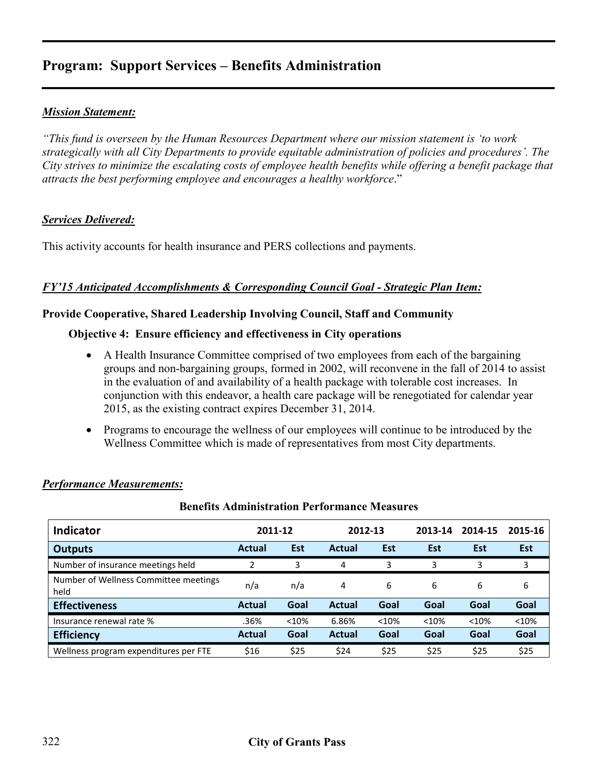# **Program: Support Services – Benefits Administration**

### *Mission Statement:*

*"This fund is overseen by the Human Resources Department where our mission statement is 'to work strategically with all City Departments to provide equitable administration of policies and procedures'. The City strives to minimize the escalating costs of employee health benefits while offering a benefit package that attracts the best performing employee and encourages a healthy workforce*."

#### *Services Delivered:*

This activity accounts for health insurance and PERS collections and payments.

#### *FY'15 Anticipated Accomplishments & Corresponding Council Goal - Strategic Plan Item:*

#### **Provide Cooperative, Shared Leadership Involving Council, Staff and Community**

#### **Objective 4: Ensure efficiency and effectiveness in City operations**

- A Health Insurance Committee comprised of two employees from each of the bargaining groups and non-bargaining groups, formed in 2002, will reconvene in the fall of 2014 to assist in the evaluation of and availability of a health package with tolerable cost increases. In conjunction with this endeavor, a health care package will be renegotiated for calendar year 2015, as the existing contract expires December 31, 2014.
- Programs to encourage the wellness of our employees will continue to be introduced by the Wellness Committee which is made of representatives from most City departments.

| Dvhvilo Tamhhhod agon 1 vrtvi manče Breadal ob |               |      |               |       |         |         |            |
|------------------------------------------------|---------------|------|---------------|-------|---------|---------|------------|
| <b>Indicator</b>                               | 2011-12       |      | 2012-13       |       | 2013-14 | 2014-15 | 2015-16    |
| <b>Outputs</b>                                 | <b>Actual</b> | Est  | <b>Actual</b> | Est   | Est     | Est     | <b>Est</b> |
| Number of insurance meetings held              | 2             | 3    | 4             | 3     | 3       | 3       | 3          |
| Number of Wellness Committee meetings<br>held  | n/a           | n/a  | 4             | 6     | 6       | 6       | 6          |
| <b>Effectiveness</b>                           | Actual        | Goal | <b>Actual</b> | Goal  | Goal    | Goal    | Goal       |
| Insurance renewal rate %                       | .36%          | <10% | 6.86%         | < 10% | < 10%   | < 10%   | < 10%      |
| <b>Efficiency</b>                              | Actual        | Goal | <b>Actual</b> | Goal  | Goal    | Goal    | Goal       |
| Wellness program expenditures per FTE          | \$16          | \$25 | \$24          | \$25  | \$25    | \$25    | \$25       |

**Benefits Administration Performance Measures**

#### *Performance Measurements:*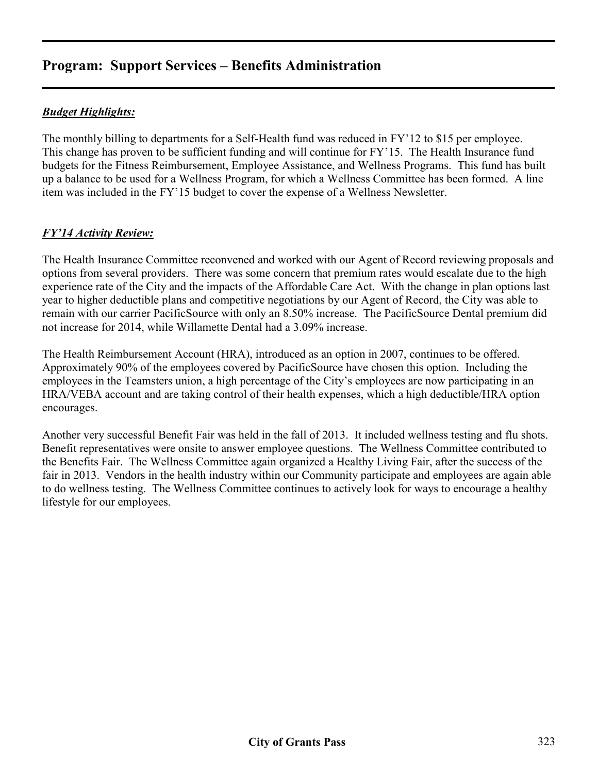# **Program: Support Services – Benefits Administration**

## *Budget Highlights:*

The monthly billing to departments for a Self-Health fund was reduced in FY'12 to \$15 per employee. This change has proven to be sufficient funding and will continue for FY'15. The Health Insurance fund budgets for the Fitness Reimbursement, Employee Assistance, and Wellness Programs. This fund has built up a balance to be used for a Wellness Program, for which a Wellness Committee has been formed. A line item was included in the FY'15 budget to cover the expense of a Wellness Newsletter.

### *FY'14 Activity Review:*

The Health Insurance Committee reconvened and worked with our Agent of Record reviewing proposals and options from several providers. There was some concern that premium rates would escalate due to the high experience rate of the City and the impacts of the Affordable Care Act. With the change in plan options last year to higher deductible plans and competitive negotiations by our Agent of Record, the City was able to remain with our carrier PacificSource with only an 8.50% increase. The PacificSource Dental premium did not increase for 2014, while Willamette Dental had a 3.09% increase.

The Health Reimbursement Account (HRA), introduced as an option in 2007, continues to be offered. Approximately 90% of the employees covered by PacificSource have chosen this option. Including the employees in the Teamsters union, a high percentage of the City's employees are now participating in an HRA/VEBA account and are taking control of their health expenses, which a high deductible/HRA option encourages.

Another very successful Benefit Fair was held in the fall of 2013. It included wellness testing and flu shots. Benefit representatives were onsite to answer employee questions. The Wellness Committee contributed to the Benefits Fair. The Wellness Committee again organized a Healthy Living Fair, after the success of the fair in 2013. Vendors in the health industry within our Community participate and employees are again able to do wellness testing. The Wellness Committee continues to actively look for ways to encourage a healthy lifestyle for our employees.